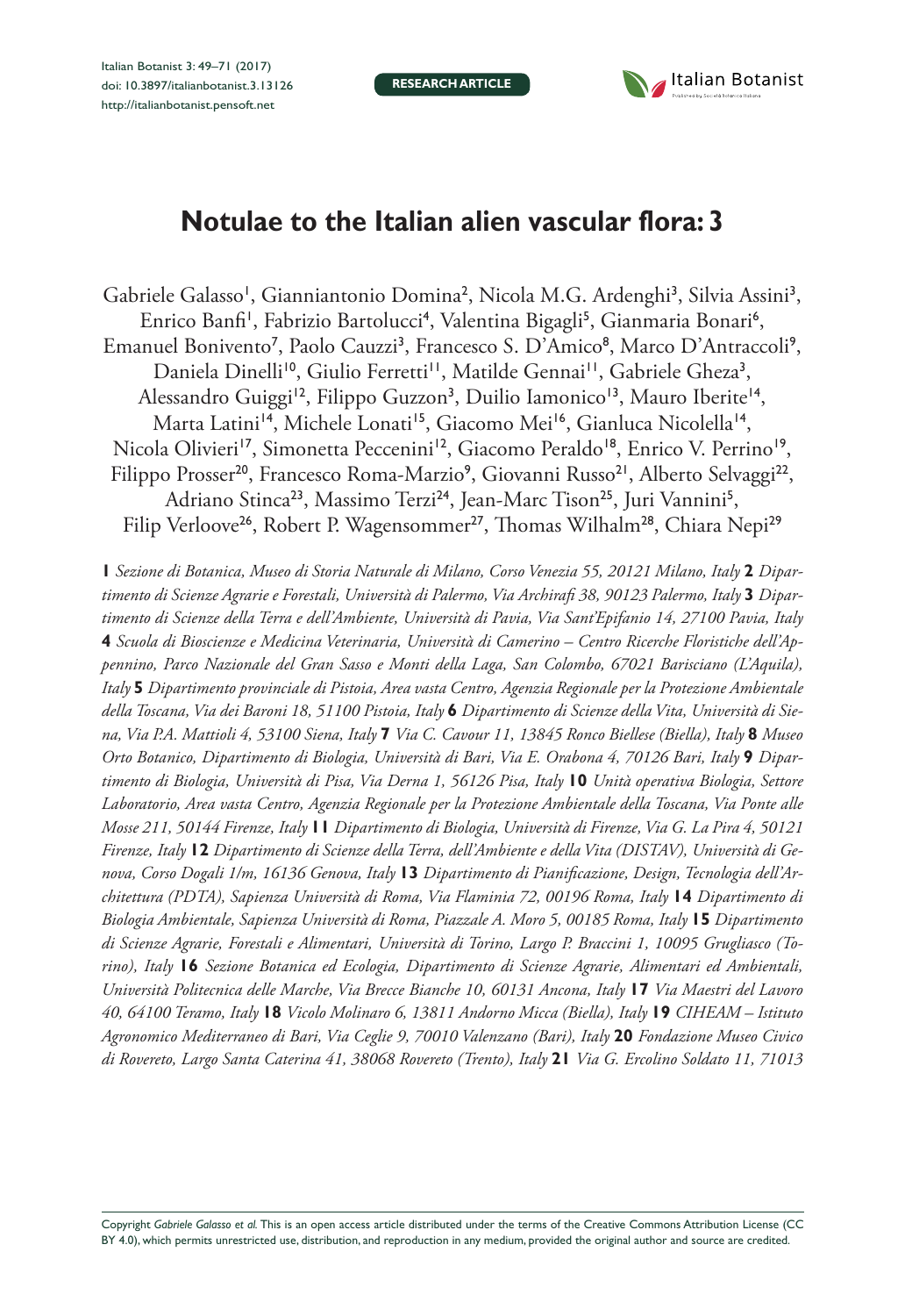**RESEARCH ARTICLE**



# **Notulae to the Italian alien vascular flora: 3**

Gabriele Galasso<sup>1</sup>, Gianniantonio Domina<sup>2</sup>, Nicola M.G. Ardenghi<sup>3</sup>, Silvia Assini<sup>3</sup>, Enrico Banfi<sup>i</sup>, Fabrizio Bartolucci<sup>4</sup>, Valentina Bigagli<sup>5</sup>, Gianmaria Bonari<sup>6</sup>, Emanuel Bonivento<sup>7</sup>, Paolo Cauzzi<sup>3</sup>, Francesco S. D'Amico<sup>8</sup>, Marco D'Antraccoli<sup>9</sup>, Daniela Dinelli<sup>10</sup>, Giulio Ferretti<sup>11</sup>, Matilde Gennai<sup>11</sup>, Gabriele Gheza<sup>3</sup>, Alessandro Guiggi<sup>12</sup>, Filippo Guzzon<sup>3</sup>, Duilio Iamonico<sup>13</sup>, Mauro Iberite<sup>14</sup>, Marta Latini<sup>14</sup>, Michele Lonati<sup>15</sup>, Giacomo Mei<sup>16</sup>, Gianluca Nicolella<sup>14</sup>, Nicola Olivieri<sup>17</sup>, Simonetta Peccenini<sup>12</sup>, Giacomo Peraldo<sup>18</sup>, Enrico V. Perrino<sup>19</sup>, Filippo Prosser<sup>20</sup>, Francesco Roma-Marzio<sup>9</sup>, Giovanni Russo<sup>21</sup>, Alberto Selvaggi<sup>22</sup>, Adriano Stinca<sup>23</sup>, Massimo Terzi<sup>24</sup>, Jean-Marc Tison<sup>25</sup>, Juri Vannini<sup>5</sup>, Filip Verloove<sup>26</sup>, Robert P. Wagensommer<sup>27</sup>, Thomas Wilhalm<sup>28</sup>, Chiara Nepi<sup>29</sup>

**1** *Sezione di Botanica, Museo di Storia Naturale di Milano, Corso Venezia 55, 20121 Milano, Italy* **2** *Dipartimento di Scienze Agrarie e Forestali, Università di Palermo, Via Archirafi 38, 90123 Palermo, Italy* **3** *Dipartimento di Scienze della Terra e dell'Ambiente, Università di Pavia, Via Sant'Epifanio 14, 27100 Pavia, Italy*  **4** *Scuola di Bioscienze e Medicina Veterinaria, Università di Camerino – Centro Ricerche Floristiche dell'Appennino, Parco Nazionale del Gran Sasso e Monti della Laga, San Colombo, 67021 Barisciano (L'Aquila), Italy* **5** *Dipartimento provinciale di Pistoia, Area vasta Centro, Agenzia Regionale per la Protezione Ambientale della Toscana, Via dei Baroni 18, 51100 Pistoia, Italy* **6** *Dipartimento di Scienze della Vita, Università di Siena, Via P.A. Mattioli 4, 53100 Siena, Italy* **7** *Via C. Cavour 11, 13845 Ronco Biellese (Biella), Italy* **8** *Museo Orto Botanico, Dipartimento di Biologia, Università di Bari, Via E. Orabona 4, 70126 Bari, Italy* **9** *Dipartimento di Biologia, Università di Pisa, Via Derna 1, 56126 Pisa, Italy* **10** *Unità operativa Biologia, Settore Laboratorio, Area vasta Centro, Agenzia Regionale per la Protezione Ambientale della Toscana, Via Ponte alle Mosse 211, 50144 Firenze, Italy* **11** *Dipartimento di Biologia, Università di Firenze, Via G. La Pira 4, 50121 Firenze, Italy* **12** *Dipartimento di Scienze della Terra, dell'Ambiente e della Vita (DISTAV), Università di Genova, Corso Dogali 1/m, 16136 Genova, Italy* **13** *Dipartimento di Pianificazione, Design, Tecnologia dell'Architettura (PDTA), Sapienza Università di Roma, Via Flaminia 72, 00196 Roma, Italy* **14** *Dipartimento di Biologia Ambientale, Sapienza Università di Roma, Piazzale A. Moro 5, 00185 Roma, Italy* **15** *Dipartimento di Scienze Agrarie, Forestali e Alimentari, Università di Torino, Largo P. Braccini 1, 10095 Grugliasco (Torino), Italy* **16** *Sezione Botanica ed Ecologia, Dipartimento di Scienze Agrarie, Alimentari ed Ambientali, Università Politecnica delle Marche, Via Brecce Bianche 10, 60131 Ancona, Italy* **17** *Via Maestri del Lavoro 40, 64100 Teramo, Italy* **18** *Vicolo Molinaro 6, 13811 Andorno Micca (Biella), Italy* **19** *CIHEAM – Istituto Agronomico Mediterraneo di Bari, Via Ceglie 9, 70010 Valenzano (Bari), Italy* **20** *Fondazione Museo Civico di Rovereto, Largo Santa Caterina 41, 38068 Rovereto (Trento), Italy* **21** *Via G. Ercolino Soldato 11, 71013* 

Copyright *Gabriele Galasso et al.* This is an open access article distributed under the terms of the [Creative Commons Attribution License \(CC](http://creativecommons.org/licenses/by/4.0/)  [BY 4.0\)](http://creativecommons.org/licenses/by/4.0/), which permits unrestricted use, distribution, and reproduction in any medium, provided the original author and source are credited.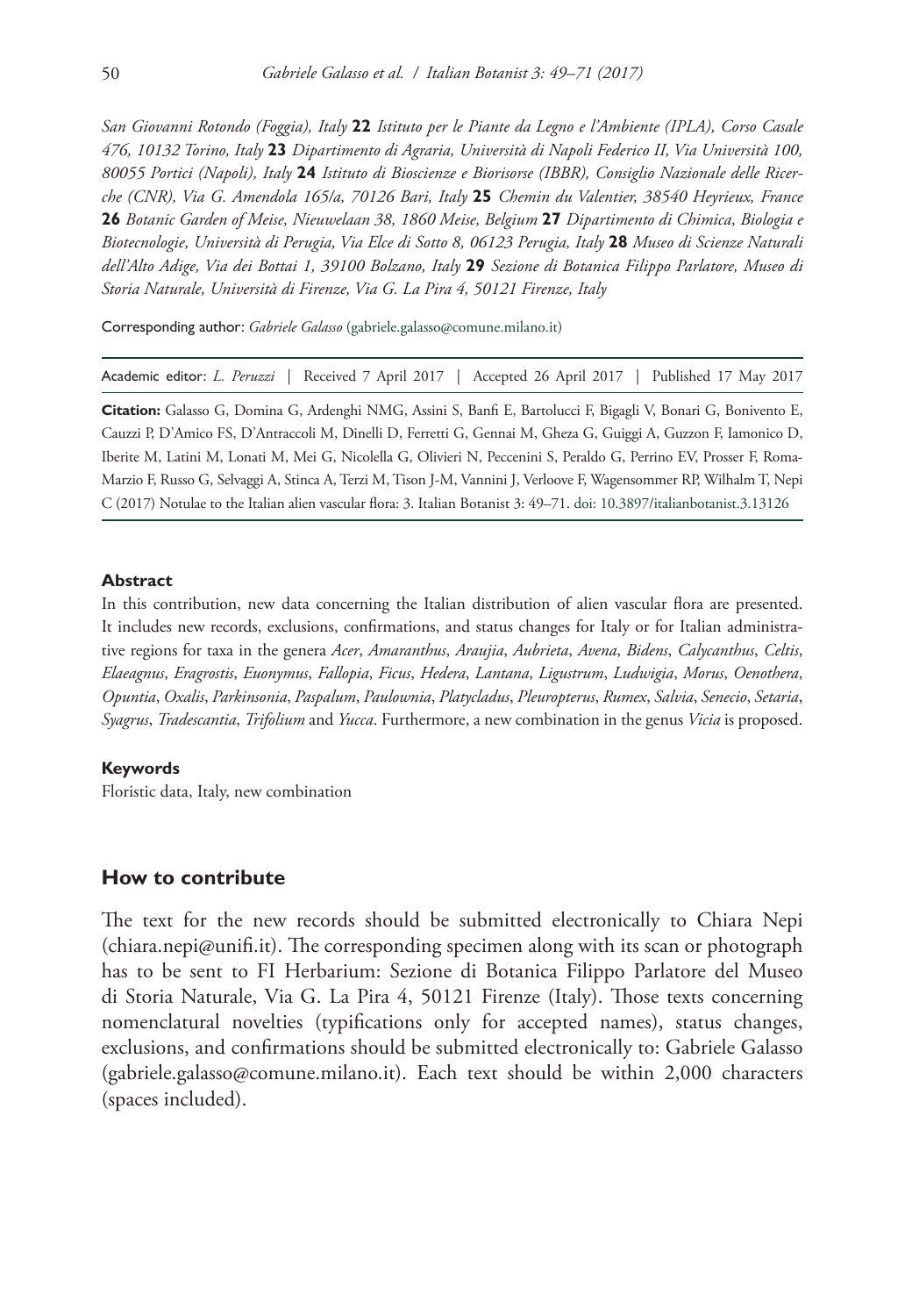*San Giovanni Rotondo (Foggia), Italy* **22** *Istituto per le Piante da Legno e l'Ambiente (IPLA), Corso Casale 476, 10132 Torino, Italy* **23** *Dipartimento di Agraria, Università di Napoli Federico II, Via Università 100, 80055 Portici (Napoli), Italy* **24** *Istituto di Bioscienze e Biorisorse (IBBR), Consiglio Nazionale delle Ricerche (CNR), Via G. Amendola 165/a, 70126 Bari, Italy* **25** *Chemin du Valentier, 38540 Heyrieux, France*  **26** *Botanic Garden of Meise, Nieuwelaan 38, 1860 Meise, Belgium* **27** *Dipartimento di Chimica, Biologia e Biotecnologie, Università di Perugia, Via Elce di Sotto 8, 06123 Perugia, Italy* **28** *Museo di Scienze Naturali dell'Alto Adige, Via dei Bottai 1, 39100 Bolzano, Italy* **29** *Sezione di Botanica Filippo Parlatore, Museo di Storia Naturale, Università di Firenze, Via G. La Pira 4, 50121 Firenze, Italy*

Corresponding author: *Gabriele Galasso* ([gabriele.galasso@comune.milano.it](mailto:gabriele.galasso@comune.milano.it))

Academic editor: *L. Peruzzi* | Received 7 April 2017 | Accepted 26 April 2017 | Published 17 May 2017

**Citation:** Galasso G, Domina G, Ardenghi NMG, Assini S, Banfi E, Bartolucci F, Bigagli V, Bonari G, Bonivento E, Cauzzi P, D'Amico FS, D'Antraccoli M, Dinelli D, Ferretti G, Gennai M, Gheza G, Guiggi A, Guzzon F, Iamonico D, Iberite M, Latini M, Lonati M, Mei G, Nicolella G, Olivieri N, Peccenini S, Peraldo G, Perrino EV, Prosser F, Roma-Marzio F, Russo G, Selvaggi A, Stinca A, Terzi M, Tison J-M, Vannini J, Verloove F, Wagensommer RP, Wilhalm T, Nepi C (2017) Notulae to the Italian alien vascular flora: 3. Italian Botanist 3: 49–71. [doi: 10.3897/italianbotanist.3.13126](https://doi.org/10.3897/italianbotanist.3.13126)

#### **Abstract**

In this contribution, new data concerning the Italian distribution of alien vascular flora are presented. It includes new records, exclusions, confirmations, and status changes for Italy or for Italian administrative regions for taxa in the genera *Acer*, *Amaranthus*, *Araujia*, *Aubrieta*, *Avena*, *Bidens*, *Calycanthus*, *Celtis*, *Elaeagnus*, *Eragrostis*, *Euonymus*, *Fallopia*, *Ficus*, *Hedera*, *Lantana*, *Ligustrum*, *Ludwigia*, *Morus*, *Oenothera*, *Opuntia*, *Oxalis*, *Parkinsonia*, *Paspalum*, *Paulownia*, *Platycladus*, *Pleuropterus*, *Rumex*, *Salvia*, *Senecio*, *Setaria*, *Syagrus*, *Tradescantia*, *Trifolium* and *Yucca*. Furthermore, a new combination in the genus *Vicia* is proposed.

#### **Keywords**

Floristic data, Italy, new combination

#### **How to contribute**

The text for the new records should be submitted electronically to Chiara Nepi ([chiara.nepi@unifi.it](mailto:chiara.nepi@unifi.it)). The corresponding specimen along with its scan or photograph has to be sent to FI Herbarium: Sezione di Botanica Filippo Parlatore del Museo di Storia Naturale, Via G. La Pira 4, 50121 Firenze (Italy). Those texts concerning nomenclatural novelties (typifications only for accepted names), status changes, exclusions, and confirmations should be submitted electronically to: Gabriele Galasso ([gabriele.galasso@comune.milano.it](mailto:gabriele.galasso@comune.milano.it)). Each text should be within 2,000 characters (spaces included).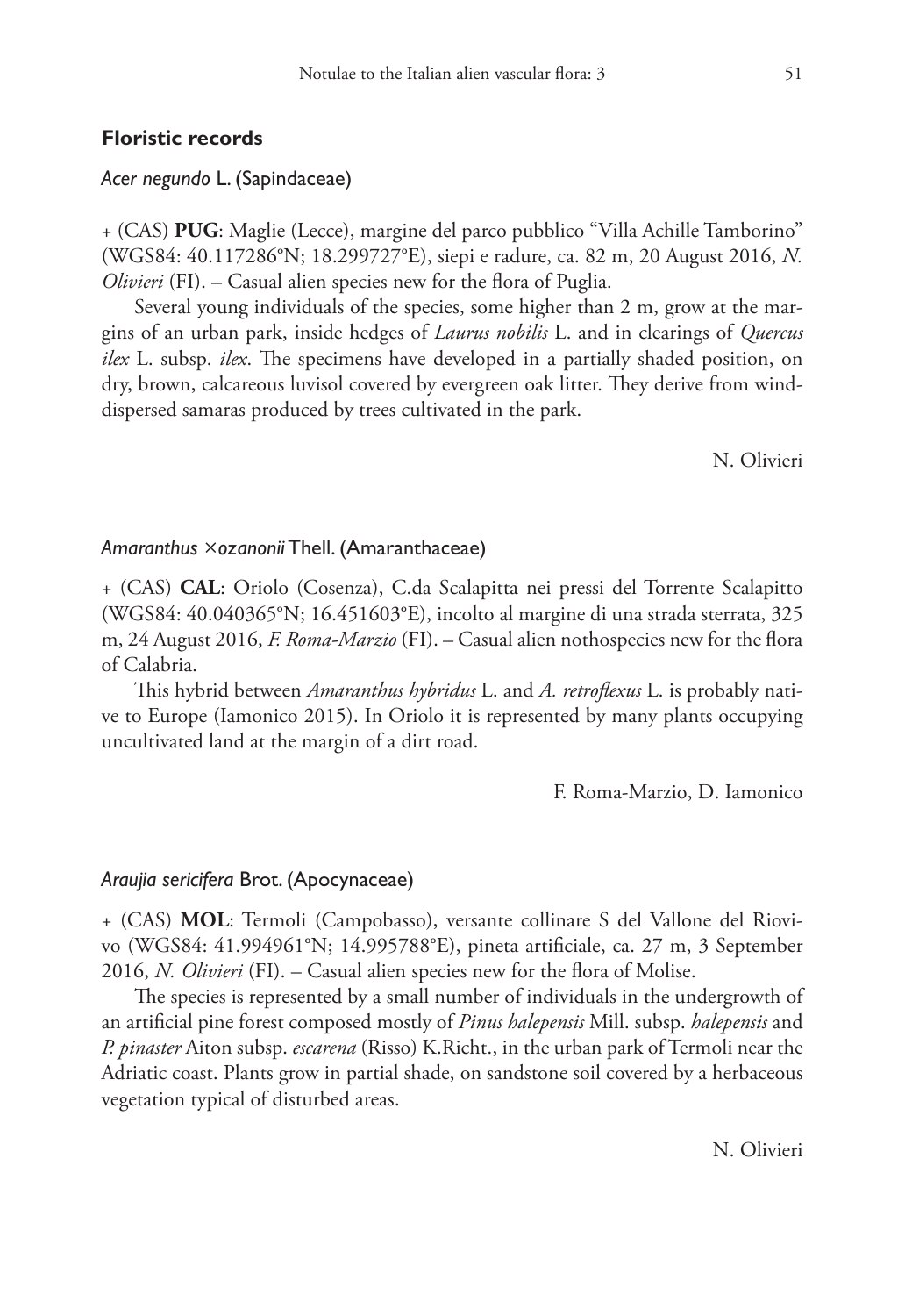# **Floristic records**

# *Acer negundo* L. (Sapindaceae)

+ (CAS) **PUG**: Maglie (Lecce), margine del parco pubblico "Villa Achille Tamborino" (WGS84: 40.117286°N; 18.299727°E), siepi e radure, ca. 82 m, 20 August 2016, *N. Olivieri* (FI). – Casual alien species new for the flora of Puglia.

Several young individuals of the species, some higher than 2 m, grow at the margins of an urban park, inside hedges of *Laurus nobilis* L. and in clearings of *Quercus ilex* L. subsp. *ilex*. The specimens have developed in a partially shaded position, on dry, brown, calcareous luvisol covered by evergreen oak litter. They derive from winddispersed samaras produced by trees cultivated in the park.

N. Olivieri

#### *Amaranthus* ×*ozanonii* Thell. (Amaranthaceae)

+ (CAS) **CAL**: Oriolo (Cosenza), C.da Scalapitta nei pressi del Torrente Scalapitto (WGS84: 40.040365°N; 16.451603°E), incolto al margine di una strada sterrata, 325 m, 24 August 2016, *F. Roma-Marzio* (FI). – Casual alien nothospecies new for the flora of Calabria.

This hybrid between *Amaranthus hybridus* L. and *A. retroflexus* L. is probably native to Europe (Iamonico 2015). In Oriolo it is represented by many plants occupying uncultivated land at the margin of a dirt road.

F. Roma-Marzio, D. Iamonico

### *Araujia sericifera* Brot. (Apocynaceae)

+ (CAS) **MOL**: Termoli (Campobasso), versante collinare S del Vallone del Riovivo (WGS84: 41.994961°N; 14.995788°E), pineta artificiale, ca. 27 m, 3 September 2016, *N. Olivieri* (FI). – Casual alien species new for the flora of Molise.

The species is represented by a small number of individuals in the undergrowth of an artificial pine forest composed mostly of *Pinus halepensis* Mill. subsp. *halepensis* and *P. pinaster* Aiton subsp. *escarena* (Risso) K.Richt., in the urban park of Termoli near the Adriatic coast. Plants grow in partial shade, on sandstone soil covered by a herbaceous vegetation typical of disturbed areas.

N. Olivieri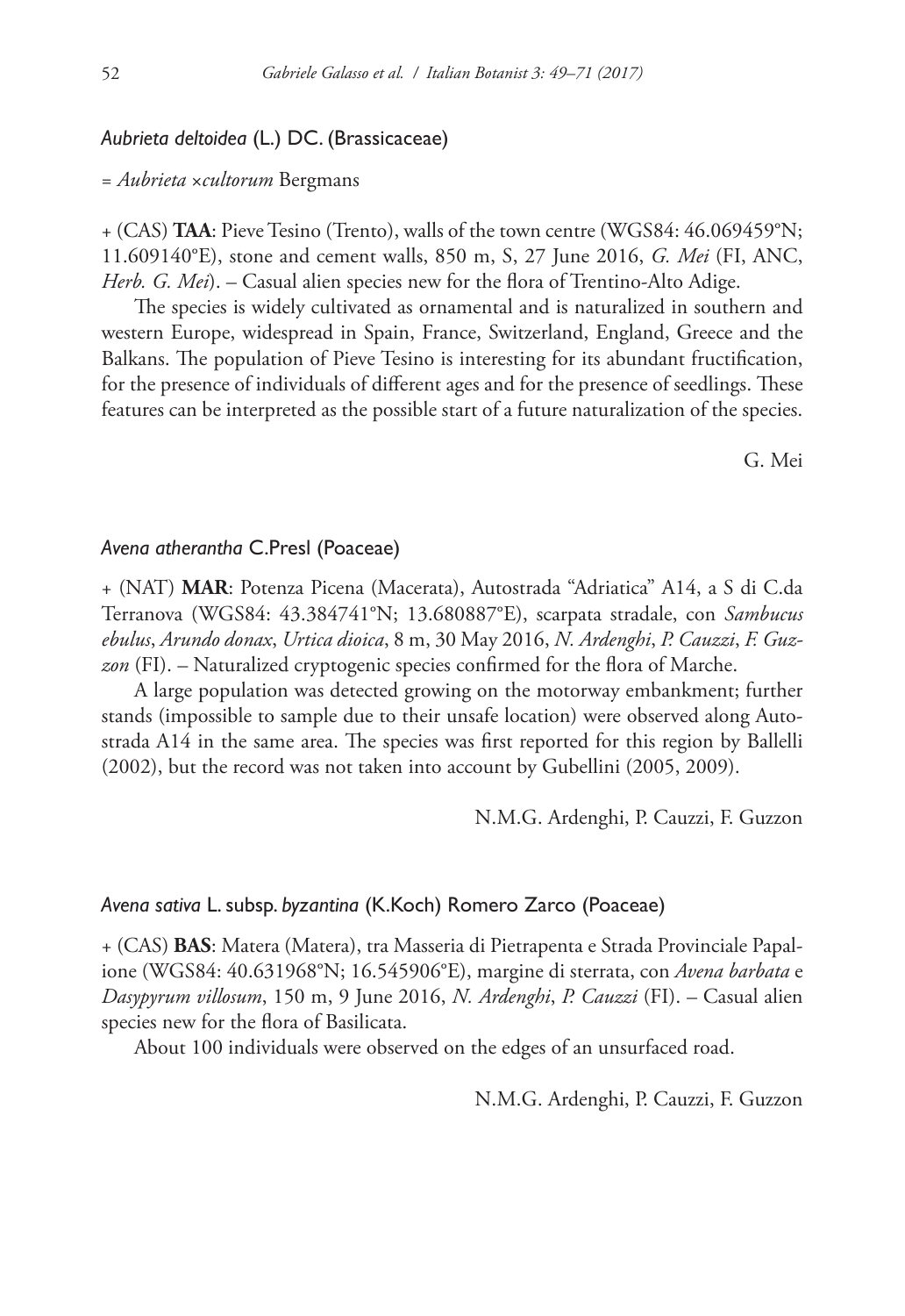# *Aubrieta deltoidea* (L.) DC. (Brassicaceae)

#### = *Aubrieta* ×*cultorum* Bergmans

+ (CAS) **TAA**: Pieve Tesino (Trento), walls of the town centre (WGS84: 46.069459°N; 11.609140°E), stone and cement walls, 850 m, S, 27 June 2016, *G. Mei* (FI, ANC, *Herb. G. Mei*). – Casual alien species new for the flora of Trentino-Alto Adige.

The species is widely cultivated as ornamental and is naturalized in southern and western Europe, widespread in Spain, France, Switzerland, England, Greece and the Balkans. The population of Pieve Tesino is interesting for its abundant fructification, for the presence of individuals of different ages and for the presence of seedlings. These features can be interpreted as the possible start of a future naturalization of the species.

G. Mei

### *Avena atherantha* C.Presl (Poaceae)

+ (NAT) **MAR**: Potenza Picena (Macerata), Autostrada "Adriatica" A14, a S di C.da Terranova (WGS84: 43.384741°N; 13.680887°E), scarpata stradale, con *Sambucus ebulus*, *Arundo donax*, *Urtica dioica*, 8 m, 30 May 2016, *N. Ardenghi*, *P. Cauzzi*, *F. Guzzon* (FI). – Naturalized cryptogenic species confirmed for the flora of Marche.

A large population was detected growing on the motorway embankment; further stands (impossible to sample due to their unsafe location) were observed along Autostrada A14 in the same area. The species was first reported for this region by Ballelli (2002), but the record was not taken into account by Gubellini (2005, 2009).

N.M.G. Ardenghi, P. Cauzzi, F. Guzzon

#### *Avena sativa* L. subsp. *byzantina* (K.Koch) Romero Zarco (Poaceae)

+ (CAS) **BAS**: Matera (Matera), tra Masseria di Pietrapenta e Strada Provinciale Papalione (WGS84: 40.631968°N; 16.545906°E), margine di sterrata, con *Avena barbata* e *Dasypyrum villosum*, 150 m, 9 June 2016, *N. Ardenghi*, *P. Cauzzi* (FI). – Casual alien species new for the flora of Basilicata.

About 100 individuals were observed on the edges of an unsurfaced road.

N.M.G. Ardenghi, P. Cauzzi, F. Guzzon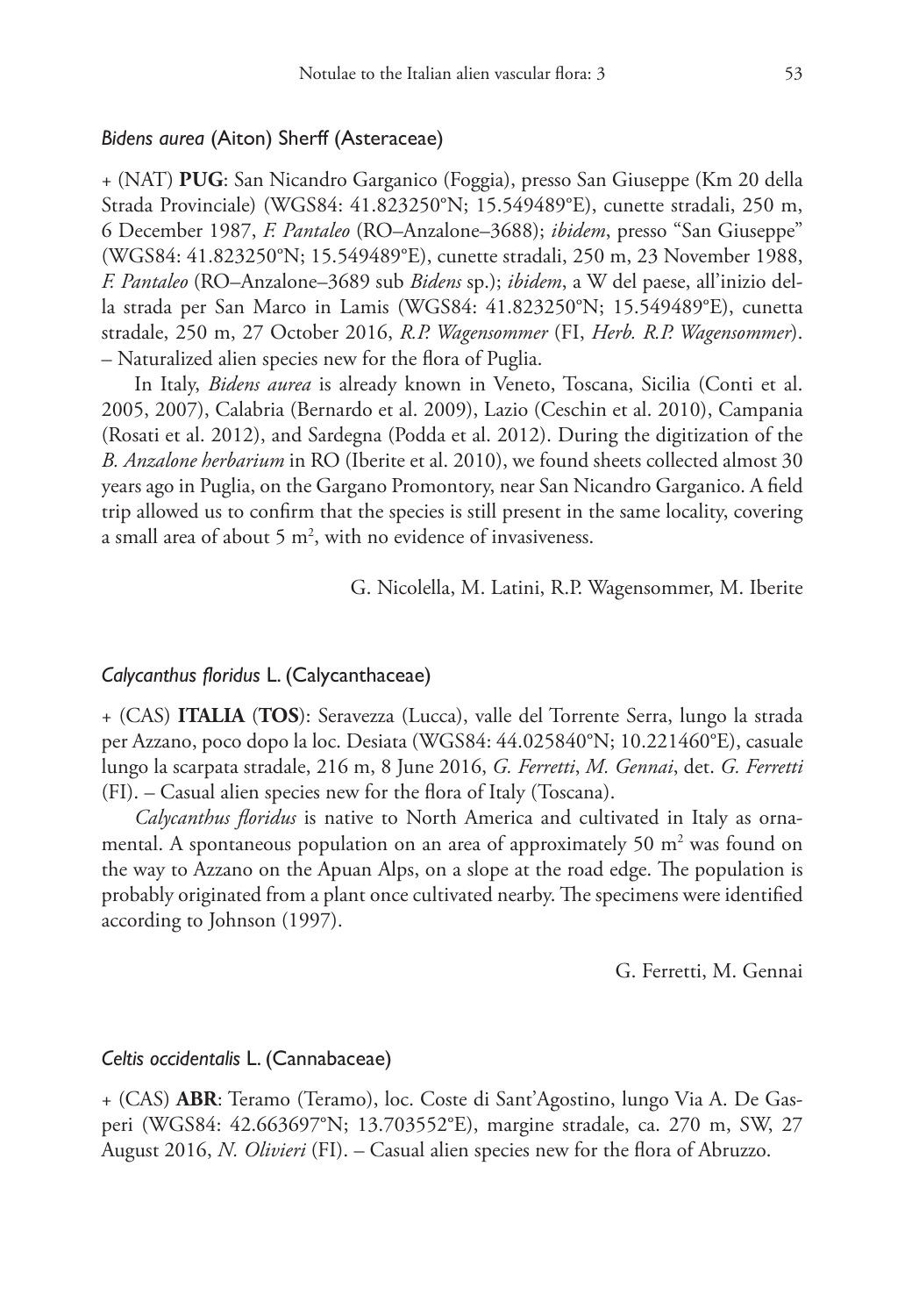# *Bidens aurea* (Aiton) Sherff (Asteraceae)

+ (NAT) **PUG**: San Nicandro Garganico (Foggia), presso San Giuseppe (Km 20 della Strada Provinciale) (WGS84: 41.823250°N; 15.549489°E), cunette stradali, 250 m, 6 December 1987, *F. Pantaleo* (RO–Anzalone–3688); *ibidem*, presso "San Giuseppe" (WGS84: 41.823250°N; 15.549489°E), cunette stradali, 250 m, 23 November 1988, *F. Pantaleo* (RO–Anzalone–3689 sub *Bidens* sp.); *ibidem*, a W del paese, all'inizio della strada per San Marco in Lamis (WGS84: 41.823250°N; 15.549489°E), cunetta stradale, 250 m, 27 October 2016, *R.P. Wagensommer* (FI, *Herb. R.P. Wagensommer*). – Naturalized alien species new for the flora of Puglia.

In Italy, *Bidens aurea* is already known in Veneto, Toscana, Sicilia (Conti et al. 2005, 2007), Calabria (Bernardo et al. 2009), Lazio (Ceschin et al. 2010), Campania (Rosati et al. 2012), and Sardegna (Podda et al. 2012). During the digitization of the *B. Anzalone herbarium* in RO (Iberite et al. 2010), we found sheets collected almost 30 years ago in Puglia, on the Gargano Promontory, near San Nicandro Garganico. A field trip allowed us to confirm that the species is still present in the same locality, covering a small area of about 5  $m^2$ , with no evidence of invasiveness.

G. Nicolella, M. Latini, R.P. Wagensommer, M. Iberite

# *Calycanthus floridus* L. (Calycanthaceae)

+ (CAS) **ITALIA** (**TOS**): Seravezza (Lucca), valle del Torrente Serra, lungo la strada per Azzano, poco dopo la loc. Desiata (WGS84: 44.025840°N; 10.221460°E), casuale lungo la scarpata stradale, 216 m, 8 June 2016, *G. Ferretti*, *M. Gennai*, det. *G. Ferretti* (FI). – Casual alien species new for the flora of Italy (Toscana).

*Calycanthus floridus* is native to North America and cultivated in Italy as ornamental. A spontaneous population on an area of approximately 50  $m<sup>2</sup>$  was found on the way to Azzano on the Apuan Alps, on a slope at the road edge. The population is probably originated from a plant once cultivated nearby. The specimens were identified according to Johnson (1997).

G. Ferretti, M. Gennai

#### *Celtis occidentalis* L. (Cannabaceae)

+ (CAS) **ABR**: Teramo (Teramo), loc. Coste di Sant'Agostino, lungo Via A. De Gasperi (WGS84: 42.663697°N; 13.703552°E), margine stradale, ca. 270 m, SW, 27 August 2016, *N. Olivieri* (FI). – Casual alien species new for the flora of Abruzzo.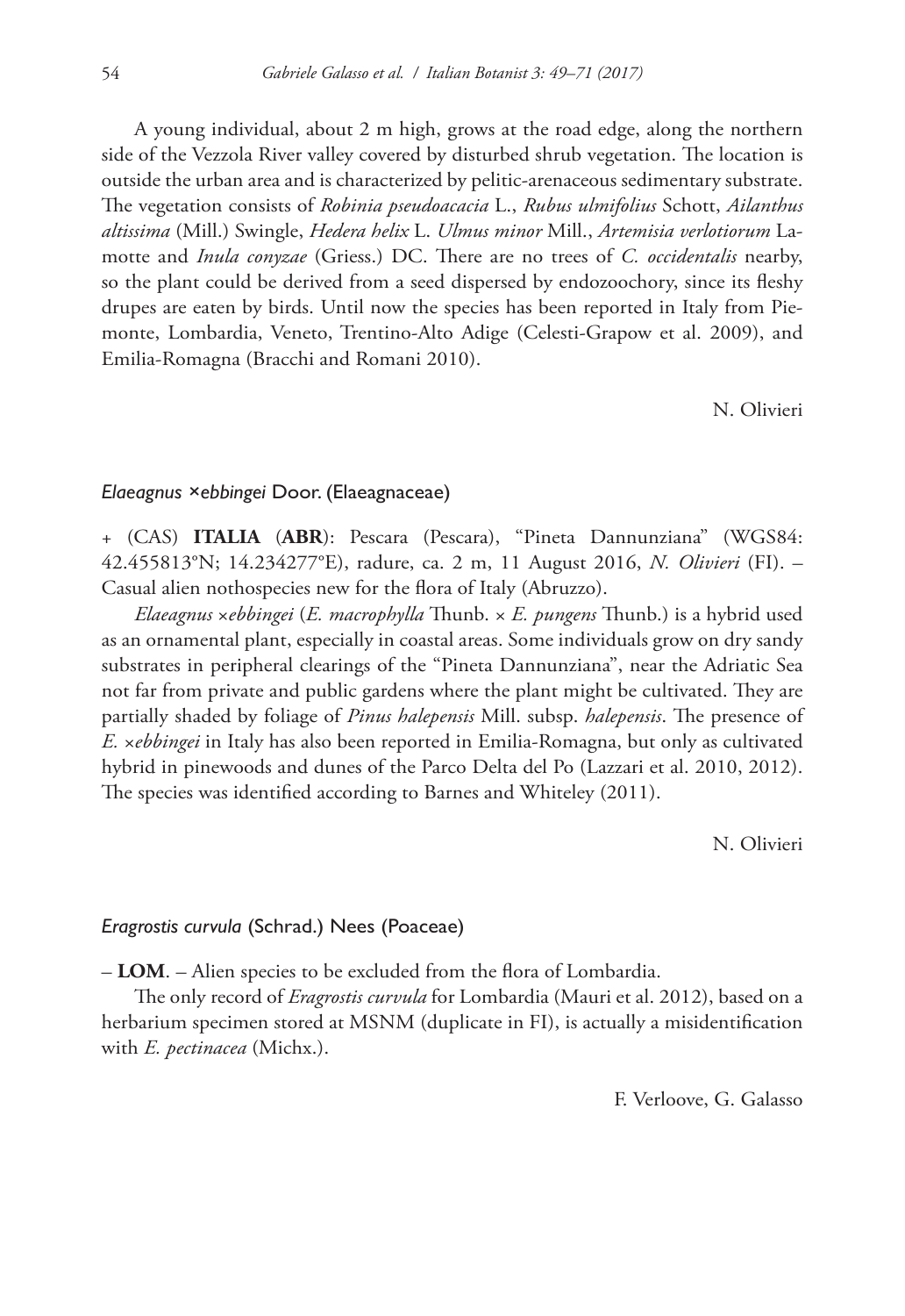A young individual, about 2 m high, grows at the road edge, along the northern side of the Vezzola River valley covered by disturbed shrub vegetation. The location is outside the urban area and is characterized by pelitic-arenaceous sedimentary substrate. The vegetation consists of *Robinia pseudoacacia* L., *Rubus ulmifolius* Schott, *Ailanthus altissima* (Mill.) Swingle, *Hedera helix* L. *Ulmus minor* Mill., *Artemisia verlotiorum* Lamotte and *Inula conyzae* (Griess.) DC. There are no trees of *C. occidentalis* nearby, so the plant could be derived from a seed dispersed by endozoochory, since its fleshy drupes are eaten by birds. Until now the species has been reported in Italy from Piemonte, Lombardia, Veneto, Trentino-Alto Adige (Celesti-Grapow et al. 2009), and Emilia-Romagna (Bracchi and Romani 2010).

N. Olivieri

#### *Elaeagnus ×ebbingei* Door. (Elaeagnaceae)

+ (CAS) **ITALIA** (**ABR**): Pescara (Pescara), "Pineta Dannunziana" (WGS84: 42.455813°N; 14.234277°E), radure, ca. 2 m, 11 August 2016, *N. Olivieri* (FI). – Casual alien nothospecies new for the flora of Italy (Abruzzo).

*Elaeagnus* ×*ebbingei* (*E. macrophylla* Thunb. × *E. pungens* Thunb.) is a hybrid used as an ornamental plant, especially in coastal areas. Some individuals grow on dry sandy substrates in peripheral clearings of the "Pineta Dannunziana", near the Adriatic Sea not far from private and public gardens where the plant might be cultivated. They are partially shaded by foliage of *Pinus halepensis* Mill. subsp. *halepensis*. The presence of *E.* ×*ebbingei* in Italy has also been reported in Emilia-Romagna, but only as cultivated hybrid in pinewoods and dunes of the Parco Delta del Po (Lazzari et al. 2010, 2012). The species was identified according to Barnes and Whiteley (2011).

N. Olivieri

#### *Eragrostis curvula* (Schrad.) Nees (Poaceae)

– **LOM**. – Alien species to be excluded from the flora of Lombardia.

The only record of *Eragrostis curvula* for Lombardia (Mauri et al. 2012), based on a herbarium specimen stored at MSNM (duplicate in FI), is actually a misidentification with *E. pectinacea* (Michx.).

F. Verloove, G. Galasso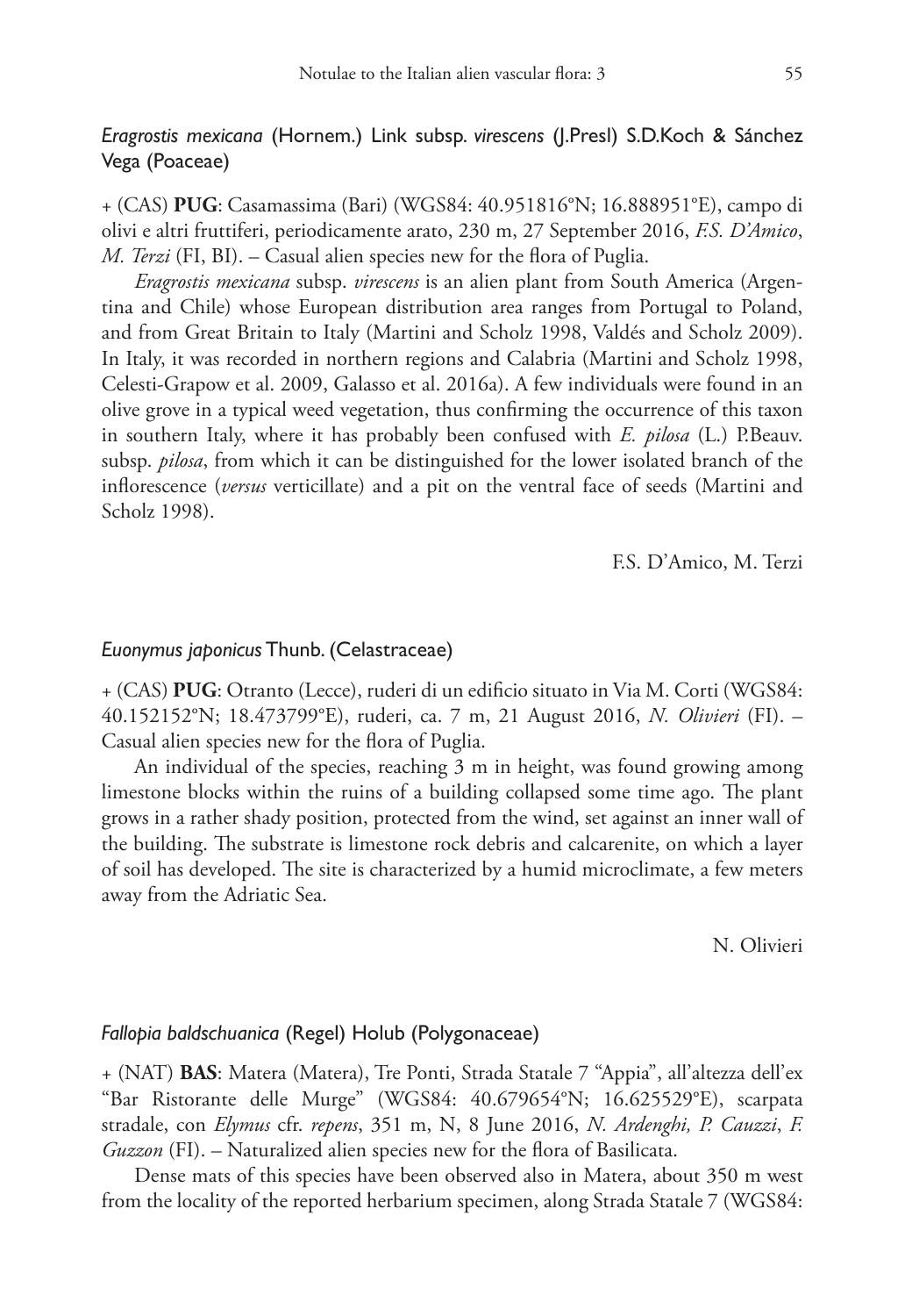# *Eragrostis mexicana* (Hornem.) Link subsp. *virescens* (J.Presl) S.D.Koch & Sánchez Vega (Poaceae)

+ (CAS) **PUG**: Casamassima (Bari) (WGS84: 40.951816°N; 16.888951°E), campo di olivi e altri fruttiferi, periodicamente arato, 230 m, 27 September 2016, *F.S. D'Amico*, *M. Terzi* (FI, BI). – Casual alien species new for the flora of Puglia.

*Eragrostis mexicana* subsp. *virescens* is an alien plant from South America (Argentina and Chile) whose European distribution area ranges from Portugal to Poland, and from Great Britain to Italy (Martini and Scholz 1998, Valdés and Scholz 2009). In Italy, it was recorded in northern regions and Calabria (Martini and Scholz 1998, Celesti-Grapow et al. 2009, Galasso et al. 2016a). A few individuals were found in an olive grove in a typical weed vegetation, thus confirming the occurrence of this taxon in southern Italy, where it has probably been confused with *E. pilosa* (L.) P.Beauv. subsp. *pilosa*, from which it can be distinguished for the lower isolated branch of the inflorescence (*versus* verticillate) and a pit on the ventral face of seeds (Martini and Scholz 1998).

F.S. D'Amico, M. Terzi

#### *Euonymus japonicus* Thunb. (Celastraceae)

+ (CAS) **PUG**: Otranto (Lecce), ruderi di un edificio situato in Via M. Corti (WGS84: 40.152152°N; 18.473799°E), ruderi, ca. 7 m, 21 August 2016, *N. Olivieri* (FI). – Casual alien species new for the flora of Puglia.

An individual of the species, reaching 3 m in height, was found growing among limestone blocks within the ruins of a building collapsed some time ago. The plant grows in a rather shady position, protected from the wind, set against an inner wall of the building. The substrate is limestone rock debris and calcarenite, on which a layer of soil has developed. The site is characterized by a humid microclimate, a few meters away from the Adriatic Sea.

N. Olivieri

### *Fallopia baldschuanica* (Regel) Holub (Polygonaceae)

+ (NAT) **BAS**: Matera (Matera), Tre Ponti, Strada Statale 7 "Appia", all'altezza dell'ex "Bar Ristorante delle Murge" (WGS84: 40.679654°N; 16.625529°E), scarpata stradale, con *Elymus* cfr. *repens*, 351 m, N, 8 June 2016, *N. Ardenghi, P. Cauzzi*, *F. Guzzon* (FI). – Naturalized alien species new for the flora of Basilicata.

Dense mats of this species have been observed also in Matera, about 350 m west from the locality of the reported herbarium specimen, along Strada Statale 7 (WGS84: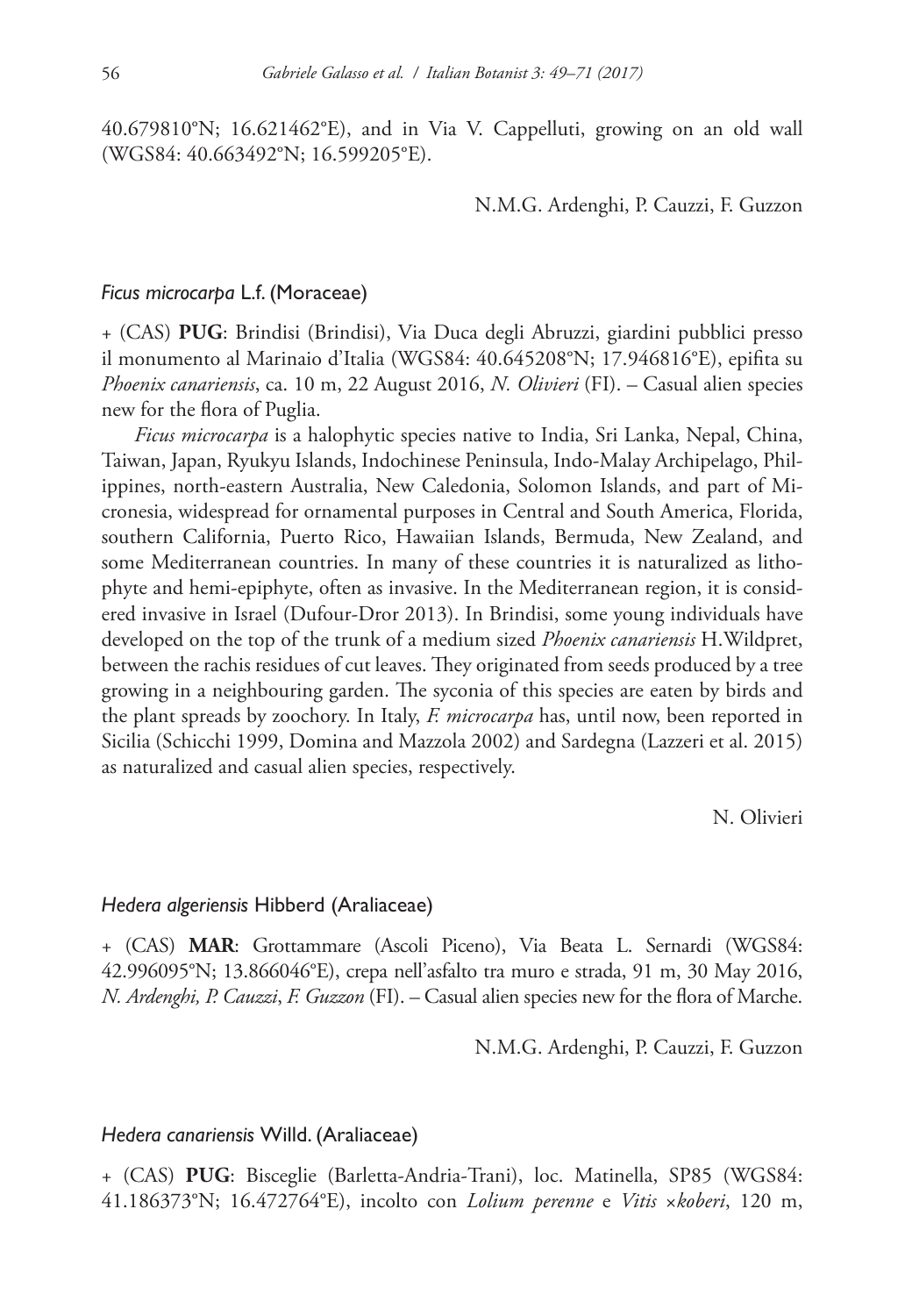40.679810°N; 16.621462°E), and in Via V. Cappelluti, growing on an old wall (WGS84: 40.663492°N; 16.599205°E).

N.M.G. Ardenghi, P. Cauzzi, F. Guzzon

#### *Ficus microcarpa* L.f. (Moraceae)

+ (CAS) **PUG**: Brindisi (Brindisi), Via Duca degli Abruzzi, giardini pubblici presso il monumento al Marinaio d'Italia (WGS84: 40.645208°N; 17.946816°E), epifita su *Phoenix canariensis*, ca. 10 m, 22 August 2016, *N. Olivieri* (FI). – Casual alien species new for the flora of Puglia.

*Ficus microcarpa* is a halophytic species native to India, Sri Lanka, Nepal, China, Taiwan, Japan, Ryukyu Islands, Indochinese Peninsula, Indo-Malay Archipelago, Philippines, north-eastern Australia, New Caledonia, Solomon Islands, and part of Micronesia, widespread for ornamental purposes in Central and South America, Florida, southern California, Puerto Rico, Hawaiian Islands, Bermuda, New Zealand, and some Mediterranean countries. In many of these countries it is naturalized as lithophyte and hemi-epiphyte, often as invasive. In the Mediterranean region, it is considered invasive in Israel (Dufour-Dror 2013). In Brindisi, some young individuals have developed on the top of the trunk of a medium sized *Phoenix canariensis* H.Wildpret, between the rachis residues of cut leaves. They originated from seeds produced by a tree growing in a neighbouring garden. The syconia of this species are eaten by birds and the plant spreads by zoochory. In Italy, *F. microcarpa* has, until now, been reported in Sicilia (Schicchi 1999, Domina and Mazzola 2002) and Sardegna (Lazzeri et al. 2015) as naturalized and casual alien species, respectively.

N. Olivieri

# *Hedera algeriensis* Hibberd (Araliaceae)

+ (CAS) **MAR**: Grottammare (Ascoli Piceno), Via Beata L. Sernardi (WGS84: 42.996095°N; 13.866046°E), crepa nell'asfalto tra muro e strada, 91 m, 30 May 2016, *N. Ardenghi, P. Cauzzi*, *F. Guzzon* (FI). – Casual alien species new for the flora of Marche.

N.M.G. Ardenghi, P. Cauzzi, F. Guzzon

### *Hedera canariensis* Willd. (Araliaceae)

+ (CAS) **PUG**: Bisceglie (Barletta-Andria-Trani), loc. Matinella, SP85 (WGS84: 41.186373°N; 16.472764°E), incolto con *Lolium perenne* e *Vitis* ×*koberi*, 120 m,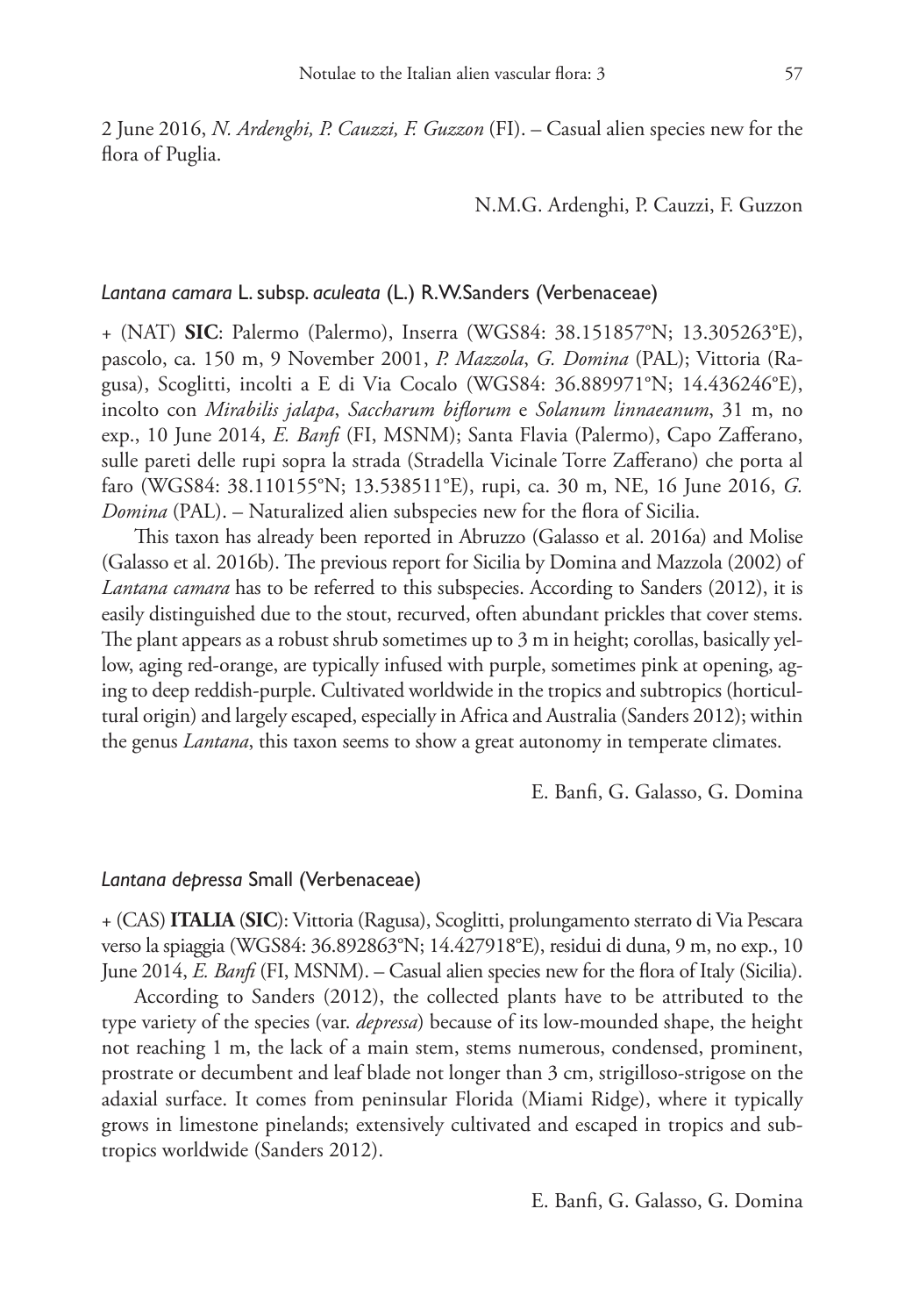2 June 2016, *N. Ardenghi, P. Cauzzi, F. Guzzon* (FI). – Casual alien species new for the flora of Puglia.

N.M.G. Ardenghi, P. Cauzzi, F. Guzzon

#### *Lantana camara* L. subsp. *aculeata* (L.) R.W.Sanders (Verbenaceae)

+ (NAT) **SIC**: Palermo (Palermo), Inserra (WGS84: 38.151857°N; 13.305263°E), pascolo, ca. 150 m, 9 November 2001, *P. Mazzola*, *G. Domina* (PAL); Vittoria (Ragusa), Scoglitti, incolti a E di Via Cocalo (WGS84: 36.889971°N; 14.436246°E), incolto con *Mirabilis jalapa*, *Saccharum biflorum* e *Solanum linnaeanum*, 31 m, no exp., 10 June 2014, *E. Banfi* (FI, MSNM); Santa Flavia (Palermo), Capo Zafferano, sulle pareti delle rupi sopra la strada (Stradella Vicinale Torre Zafferano) che porta al faro (WGS84: 38.110155°N; 13.538511°E), rupi, ca. 30 m, NE, 16 June 2016, *G. Domina* (PAL). – Naturalized alien subspecies new for the flora of Sicilia.

This taxon has already been reported in Abruzzo (Galasso et al. 2016a) and Molise (Galasso et al. 2016b). The previous report for Sicilia by Domina and Mazzola (2002) of *Lantana camara* has to be referred to this subspecies. According to Sanders (2012), it is easily distinguished due to the stout, recurved, often abundant prickles that cover stems. The plant appears as a robust shrub sometimes up to 3 m in height; corollas, basically yellow, aging red-orange, are typically infused with purple, sometimes pink at opening, aging to deep reddish-purple. Cultivated worldwide in the tropics and subtropics (horticultural origin) and largely escaped, especially in Africa and Australia (Sanders 2012); within the genus *Lantana*, this taxon seems to show a great autonomy in temperate climates.

E. Banfi, G. Galasso, G. Domina

# *Lantana depressa* Small (Verbenaceae)

+ (CAS) **ITALIA** (**SIC**): Vittoria (Ragusa), Scoglitti, prolungamento sterrato di Via Pescara verso la spiaggia (WGS84: 36.892863°N; 14.427918°E), residui di duna, 9 m, no exp., 10 June 2014, *E. Banfi* (FI, MSNM). – Casual alien species new for the flora of Italy (Sicilia).

According to Sanders (2012), the collected plants have to be attributed to the type variety of the species (var. *depressa*) because of its low-mounded shape, the height not reaching 1 m, the lack of a main stem, stems numerous, condensed, prominent, prostrate or decumbent and leaf blade not longer than 3 cm, strigilloso-strigose on the adaxial surface. It comes from peninsular Florida (Miami Ridge), where it typically grows in limestone pinelands; extensively cultivated and escaped in tropics and subtropics worldwide (Sanders 2012).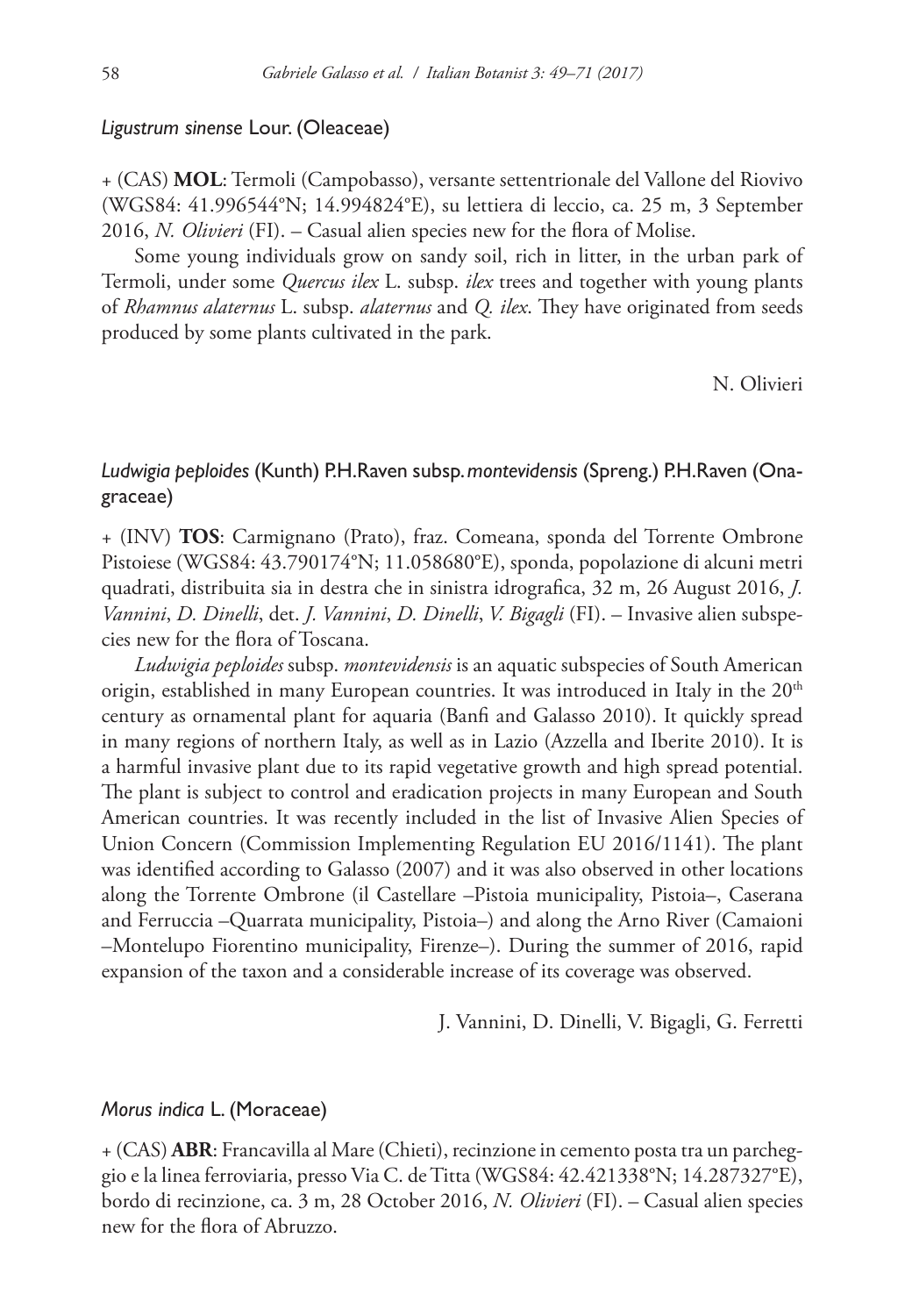### *Ligustrum sinense* Lour. (Oleaceae)

+ (CAS) **MOL**: Termoli (Campobasso), versante settentrionale del Vallone del Riovivo (WGS84: 41.996544°N; 14.994824°E), su lettiera di leccio, ca. 25 m, 3 September 2016, *N. Olivieri* (FI). – Casual alien species new for the flora of Molise.

Some young individuals grow on sandy soil, rich in litter, in the urban park of Termoli, under some *Quercus ilex* L. subsp. *ilex* trees and together with young plants of *Rhamnus alaternus* L. subsp. *alaternus* and *Q. ilex*. They have originated from seeds produced by some plants cultivated in the park.

N. Olivieri

# *Ludwigia peploides* (Kunth) P.H.Raven subsp. *montevidensis* (Spreng.) P.H.Raven (Onagraceae)

+ (INV) **TOS**: Carmignano (Prato), fraz. Comeana, sponda del Torrente Ombrone Pistoiese (WGS84: 43.790174°N; 11.058680°E), sponda, popolazione di alcuni metri quadrati, distribuita sia in destra che in sinistra idrografica, 32 m, 26 August 2016, *J. Vannini*, *D. Dinelli*, det. *J. Vannini*, *D. Dinelli*, *V. Bigagli* (FI). – Invasive alien subspecies new for the flora of Toscana.

*Ludwigia peploides* subsp. *montevidensis* is an aquatic subspecies of South American origin, established in many European countries. It was introduced in Italy in the  $20<sup>th</sup>$ century as ornamental plant for aquaria (Banfi and Galasso 2010). It quickly spread in many regions of northern Italy, as well as in Lazio (Azzella and Iberite 2010). It is a harmful invasive plant due to its rapid vegetative growth and high spread potential. The plant is subject to control and eradication projects in many European and South American countries. It was recently included in the list of Invasive Alien Species of Union Concern (Commission Implementing Regulation EU 2016/1141). The plant was identified according to Galasso (2007) and it was also observed in other locations along the Torrente Ombrone (il Castellare –Pistoia municipality, Pistoia–, Caserana and Ferruccia –Quarrata municipality, Pistoia–) and along the Arno River (Camaioni –Montelupo Fiorentino municipality, Firenze–). During the summer of 2016, rapid expansion of the taxon and a considerable increase of its coverage was observed.

J. Vannini, D. Dinelli, V. Bigagli, G. Ferretti

#### *Morus indica* L. (Moraceae)

+ (CAS) **ABR**: Francavilla al Mare (Chieti), recinzione in cemento posta tra un parcheggio e la linea ferroviaria, presso Via C. de Titta (WGS84: 42.421338°N; 14.287327°E), bordo di recinzione, ca. 3 m, 28 October 2016, *N. Olivieri* (FI). – Casual alien species new for the flora of Abruzzo.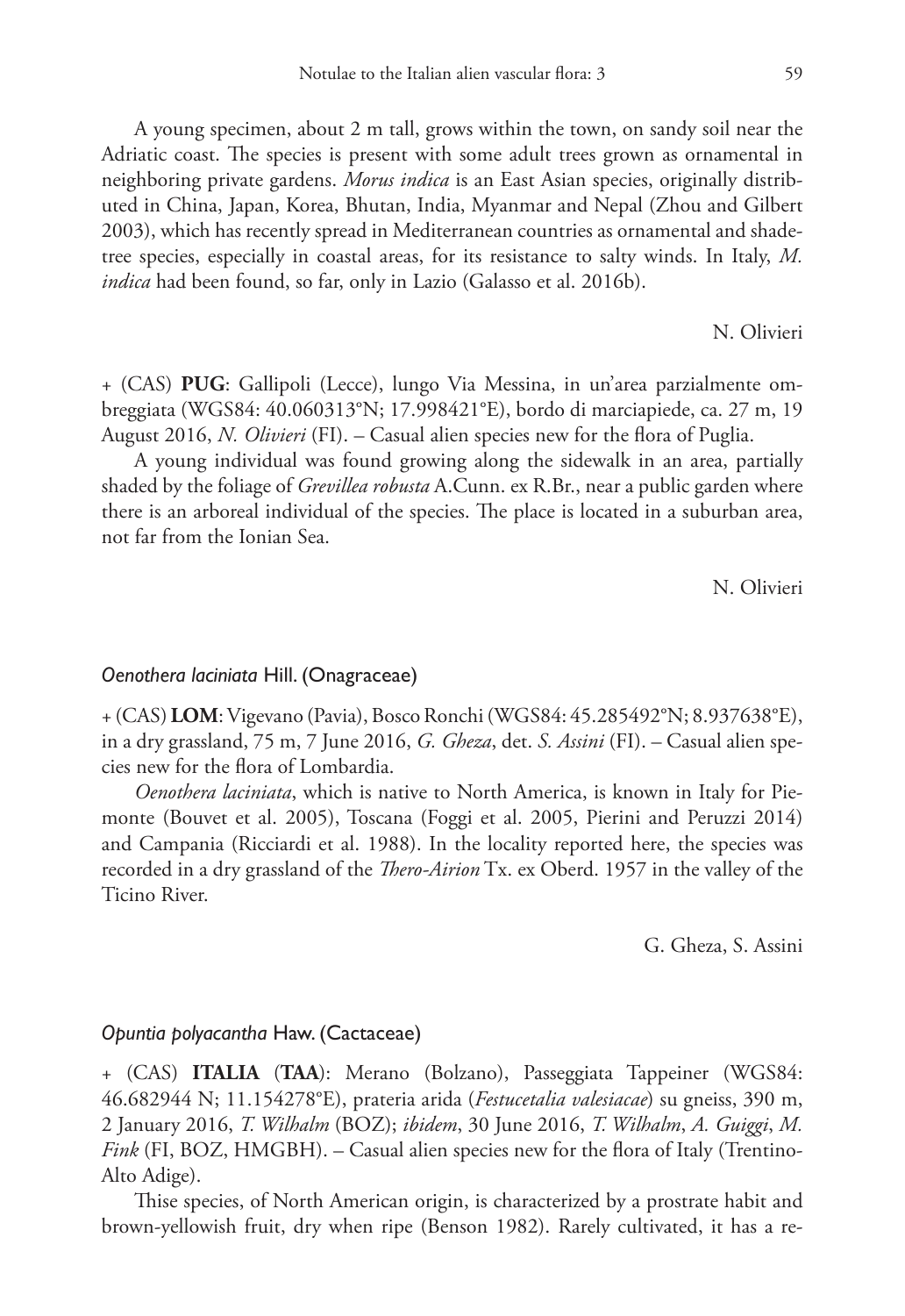A young specimen, about 2 m tall, grows within the town, on sandy soil near the Adriatic coast. The species is present with some adult trees grown as ornamental in neighboring private gardens. *Morus indica* is an East Asian species, originally distributed in China, Japan, Korea, Bhutan, India, Myanmar and Nepal (Zhou and Gilbert 2003), which has recently spread in Mediterranean countries as ornamental and shadetree species, especially in coastal areas, for its resistance to salty winds. In Italy, *M. indica* had been found, so far, only in Lazio (Galasso et al. 2016b).

N. Olivieri

+ (CAS) **PUG**: Gallipoli (Lecce), lungo Via Messina, in un'area parzialmente ombreggiata (WGS84: 40.060313°N; 17.998421°E), bordo di marciapiede, ca. 27 m, 19 August 2016, *N. Olivieri* (FI). – Casual alien species new for the flora of Puglia.

A young individual was found growing along the sidewalk in an area, partially shaded by the foliage of *Grevillea robusta* A.Cunn. ex R.Br., near a public garden where there is an arboreal individual of the species. The place is located in a suburban area, not far from the Ionian Sea.

N. Olivieri

### *Oenothera laciniata* Hill. (Onagraceae)

+ (CAS) **LOM**: Vigevano (Pavia), Bosco Ronchi (WGS84: 45.285492°N; 8.937638°E), in a dry grassland, 75 m, 7 June 2016, *G. Gheza*, det. *S. Assini* (FI). – Casual alien species new for the flora of Lombardia.

*Oenothera laciniata*, which is native to North America, is known in Italy for Piemonte (Bouvet et al. 2005), Toscana (Foggi et al. 2005, Pierini and Peruzzi 2014) and Campania (Ricciardi et al. 1988). In the locality reported here, the species was recorded in a dry grassland of the *Thero-Airion* Tx. ex Oberd. 1957 in the valley of the Ticino River.

G. Gheza, S. Assini

#### *Opuntia polyacantha* Haw. (Cactaceae)

+ (CAS) **ITALIA** (**TAA**): Merano (Bolzano), Passeggiata Tappeiner (WGS84: 46.682944 N; 11.154278°E), prateria arida (*Festucetalia valesiacae*) su gneiss, 390 m, 2 January 2016, *T. Wilhalm* (BOZ); *ibidem*, 30 June 2016, *T. Wilhalm*, *A. Guiggi*, *M. Fink* (FI, BOZ, HMGBH). – Casual alien species new for the flora of Italy (Trentino-Alto Adige).

Thise species, of North American origin, is characterized by a prostrate habit and brown-yellowish fruit, dry when ripe (Benson 1982). Rarely cultivated, it has a re-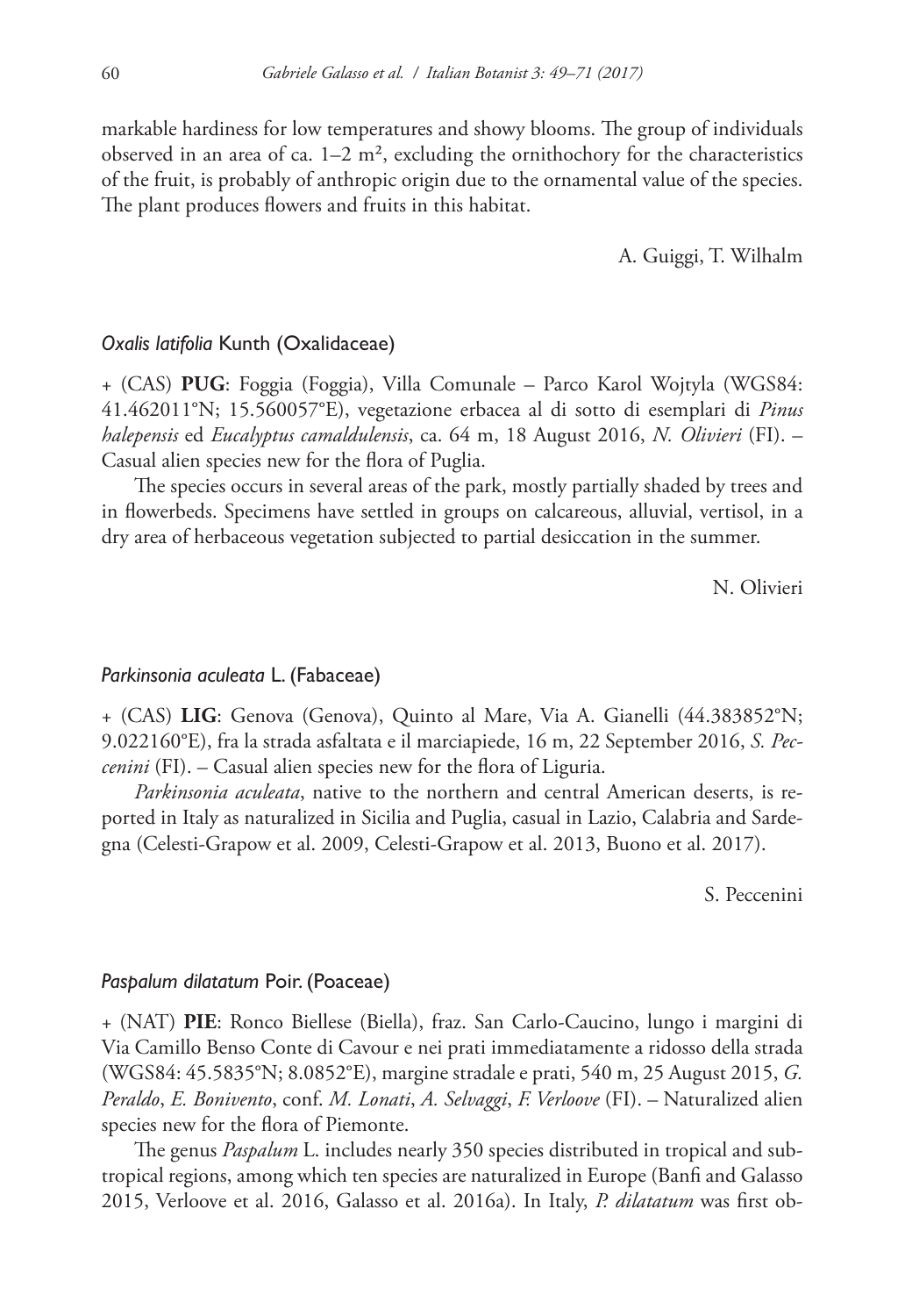markable hardiness for low temperatures and showy blooms. The group of individuals observed in an area of ca.  $1-2$  m<sup>2</sup>, excluding the ornithochory for the characteristics of the fruit, is probably of anthropic origin due to the ornamental value of the species. The plant produces flowers and fruits in this habitat.

A. Guiggi, T. Wilhalm

# *Oxalis latifolia* Kunth (Oxalidaceae)

+ (CAS) **PUG**: Foggia (Foggia), Villa Comunale – Parco Karol Wojtyla (WGS84: 41.462011°N; 15.560057°E), vegetazione erbacea al di sotto di esemplari di *Pinus halepensis* ed *Eucalyptus camaldulensis*, ca. 64 m, 18 August 2016, *N. Olivieri* (FI). – Casual alien species new for the flora of Puglia.

The species occurs in several areas of the park, mostly partially shaded by trees and in flowerbeds. Specimens have settled in groups on calcareous, alluvial, vertisol, in a dry area of herbaceous vegetation subjected to partial desiccation in the summer.

N. Olivieri

# *Parkinsonia aculeata* L. (Fabaceae)

+ (CAS) **LIG**: Genova (Genova), Quinto al Mare, Via A. Gianelli (44.383852°N; 9.022160°E), fra la strada asfaltata e il marciapiede, 16 m, 22 September 2016, *S. Peccenini* (FI). – Casual alien species new for the flora of Liguria.

*Parkinsonia aculeata*, native to the northern and central American deserts, is reported in Italy as naturalized in Sicilia and Puglia, casual in Lazio, Calabria and Sardegna (Celesti-Grapow et al. 2009, Celesti-Grapow et al. 2013, Buono et al. 2017).

S. Peccenini

#### *Paspalum dilatatum* Poir. (Poaceae)

+ (NAT) **PIE**: Ronco Biellese (Biella), fraz. San Carlo-Caucino, lungo i margini di Via Camillo Benso Conte di Cavour e nei prati immediatamente a ridosso della strada (WGS84: 45.5835°N; 8.0852°E), margine stradale e prati, 540 m, 25 August 2015, *G. Peraldo*, *E. Bonivento*, conf. *M. Lonati*, *A. Selvaggi*, *F. Verloove* (FI). – Naturalized alien species new for the flora of Piemonte.

The genus *Paspalum* L. includes nearly 350 species distributed in tropical and subtropical regions, among which ten species are naturalized in Europe (Banfi and Galasso 2015, Verloove et al. 2016, Galasso et al. 2016a). In Italy, *P. dilatatum* was first ob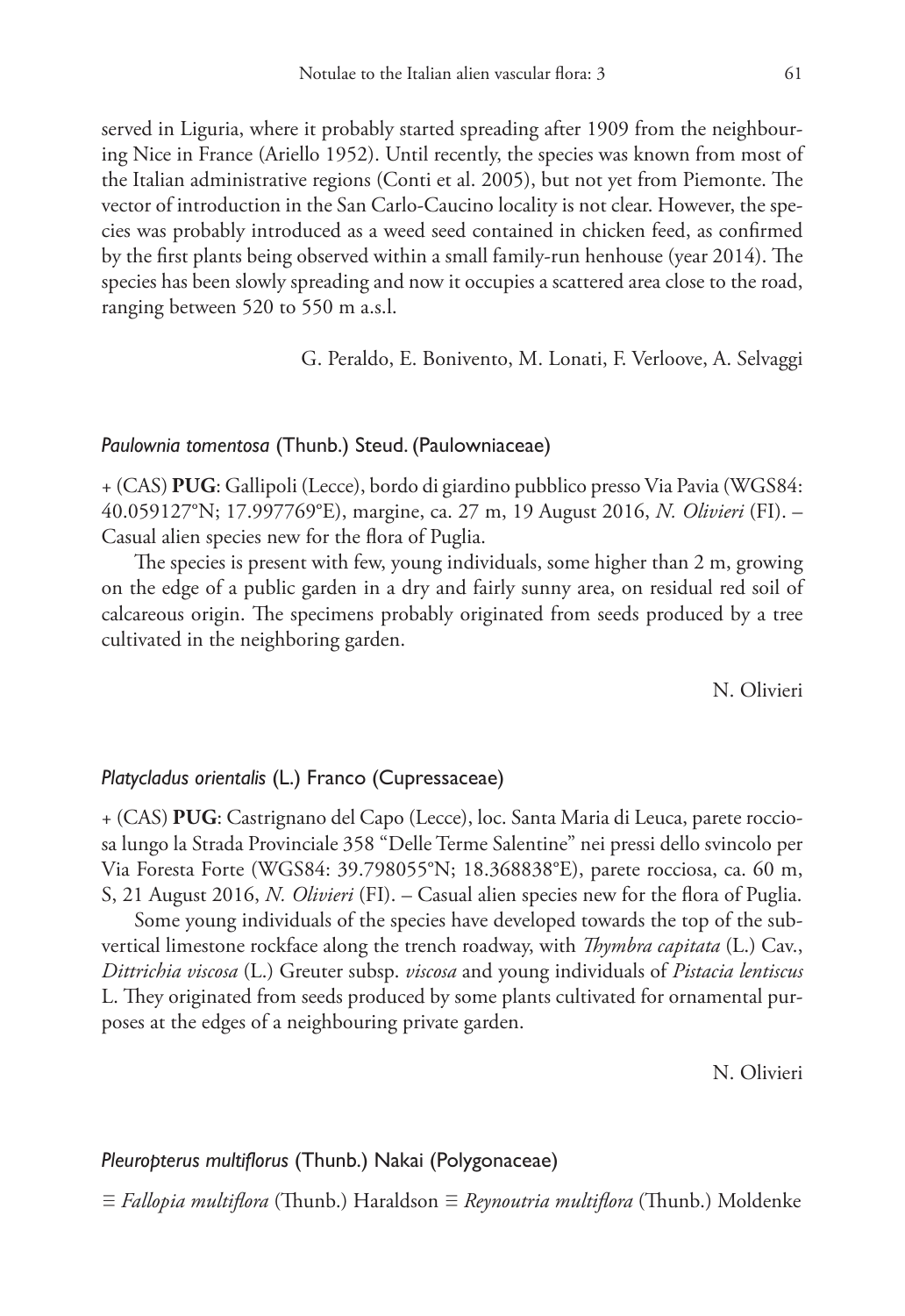served in Liguria, where it probably started spreading after 1909 from the neighbouring Nice in France (Ariello 1952). Until recently, the species was known from most of the Italian administrative regions (Conti et al. 2005), but not yet from Piemonte. The vector of introduction in the San Carlo-Caucino locality is not clear. However, the species was probably introduced as a weed seed contained in chicken feed, as confirmed by the first plants being observed within a small family-run henhouse (year 2014). The species has been slowly spreading and now it occupies a scattered area close to the road, ranging between 520 to 550 m a.s.l.

G. Peraldo, E. Bonivento, M. Lonati, F. Verloove, A. Selvaggi

# *Paulownia tomentosa* (Thunb.) Steud. (Paulowniaceae)

+ (CAS) **PUG**: Gallipoli (Lecce), bordo di giardino pubblico presso Via Pavia (WGS84: 40.059127°N; 17.997769°E), margine, ca. 27 m, 19 August 2016, *N. Olivieri* (FI). – Casual alien species new for the flora of Puglia.

The species is present with few, young individuals, some higher than 2 m, growing on the edge of a public garden in a dry and fairly sunny area, on residual red soil of calcareous origin. The specimens probably originated from seeds produced by a tree cultivated in the neighboring garden.

N. Olivieri

# *Platycladus orientalis* (L.) Franco (Cupressaceae)

+ (CAS) **PUG**: Castrignano del Capo (Lecce), loc. Santa Maria di Leuca, parete rocciosa lungo la Strada Provinciale 358 "Delle Terme Salentine" nei pressi dello svincolo per Via Foresta Forte (WGS84: 39.798055°N; 18.368838°E), parete rocciosa, ca. 60 m, S, 21 August 2016, *N. Olivieri* (FI). – Casual alien species new for the flora of Puglia.

Some young individuals of the species have developed towards the top of the subvertical limestone rockface along the trench roadway, with *Thymbra capitata* (L.) Cav., *Dittrichia viscosa* (L.) Greuter subsp. *viscosa* and young individuals of *Pistacia lentiscus* L. They originated from seeds produced by some plants cultivated for ornamental purposes at the edges of a neighbouring private garden.

N. Olivieri

#### *Pleuropterus multiflorus* (Thunb.) Nakai (Polygonaceae)

≡ *Fallopia multiflora* (Thunb.) Haraldson ≡ *Reynoutria multiflora* (Thunb.) Moldenke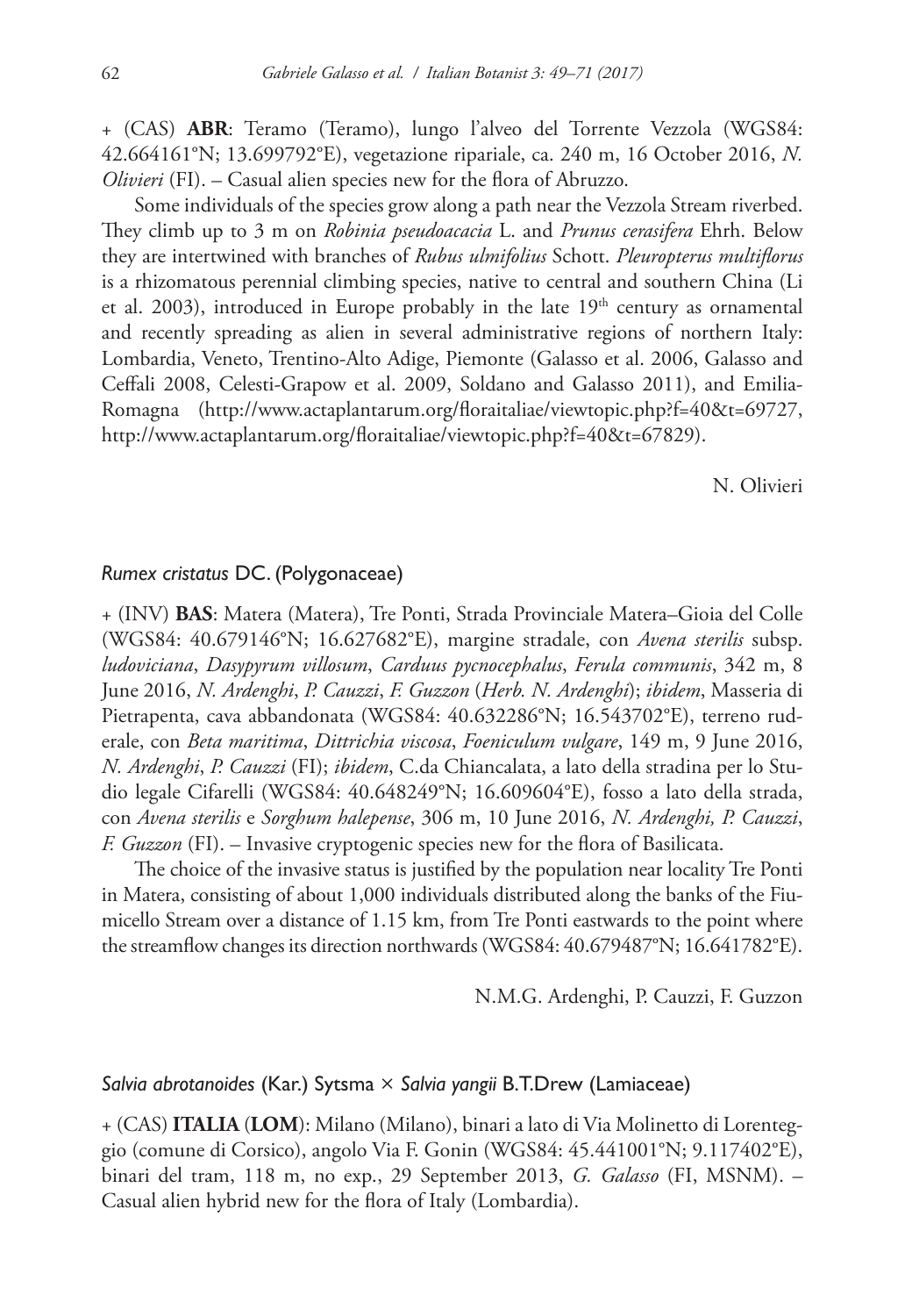+ (CAS) **ABR**: Teramo (Teramo), lungo l'alveo del Torrente Vezzola (WGS84: 42.664161°N; 13.699792°E), vegetazione ripariale, ca. 240 m, 16 October 2016, *N. Olivieri* (FI). – Casual alien species new for the flora of Abruzzo.

Some individuals of the species grow along a path near the Vezzola Stream riverbed. They climb up to 3 m on *Robinia pseudoacacia* L. and *Prunus cerasifera* Ehrh. Below they are intertwined with branches of *Rubus ulmifolius* Schott. *Pleuropterus multiflorus* is a rhizomatous perennial climbing species, native to central and southern China (Li et al. 2003), introduced in Europe probably in the late  $19<sup>th</sup>$  century as ornamental and recently spreading as alien in several administrative regions of northern Italy: Lombardia, Veneto, Trentino-Alto Adige, Piemonte (Galasso et al. 2006, Galasso and Ceffali 2008, Celesti-Grapow et al. 2009, Soldano and Galasso 2011), and Emilia-Romagna ([http://www.actaplantarum.org/floraitaliae/viewtopic.php?f=40&t=69727,](http://www.actaplantarum.org/floraitaliae/viewtopic.php?f=40&t=69727) <http://www.actaplantarum.org/floraitaliae/viewtopic.php?f=40&t=67829>).

N. Olivieri

# *Rumex cristatus* DC. (Polygonaceae)

+ (INV) **BAS**: Matera (Matera), Tre Ponti, Strada Provinciale Matera–Gioia del Colle (WGS84: 40.679146°N; 16.627682°E), margine stradale, con *Avena sterilis* subsp. *ludoviciana*, *Dasypyrum villosum*, *Carduus pycnocephalus*, *Ferula communis*, 342 m, 8 June 2016, *N. Ardenghi*, *P. Cauzzi*, *F. Guzzon* (*Herb. N. Ardenghi*); *ibidem*, Masseria di Pietrapenta, cava abbandonata (WGS84: 40.632286°N; 16.543702°E), terreno ruderale, con *Beta maritima*, *Dittrichia viscosa*, *Foeniculum vulgare*, 149 m, 9 June 2016, *N. Ardenghi*, *P. Cauzzi* (FI); *ibidem*, C.da Chiancalata, a lato della stradina per lo Studio legale Cifarelli (WGS84: 40.648249°N; 16.609604°E), fosso a lato della strada, con *Avena sterilis* e *Sorghum halepense*, 306 m, 10 June 2016, *N. Ardenghi, P. Cauzzi*, *F. Guzzon* (FI). – Invasive cryptogenic species new for the flora of Basilicata.

The choice of the invasive status is justified by the population near locality Tre Ponti in Matera, consisting of about 1,000 individuals distributed along the banks of the Fiumicello Stream over a distance of 1.15 km, from Tre Ponti eastwards to the point where the streamflow changes its direction northwards (WGS84: 40.679487°N; 16.641782°E).

N.M.G. Ardenghi, P. Cauzzi, F. Guzzon

#### *Salvia abrotanoides* (Kar.) Sytsma × *Salvia yangii* B.T.Drew (Lamiaceae)

+ (CAS) **ITALIA** (**LOM**): Milano (Milano), binari a lato di Via Molinetto di Lorenteggio (comune di Corsico), angolo Via F. Gonin (WGS84: 45.441001°N; 9.117402°E), binari del tram, 118 m, no exp., 29 September 2013, *G. Galasso* (FI, MSNM). – Casual alien hybrid new for the flora of Italy (Lombardia).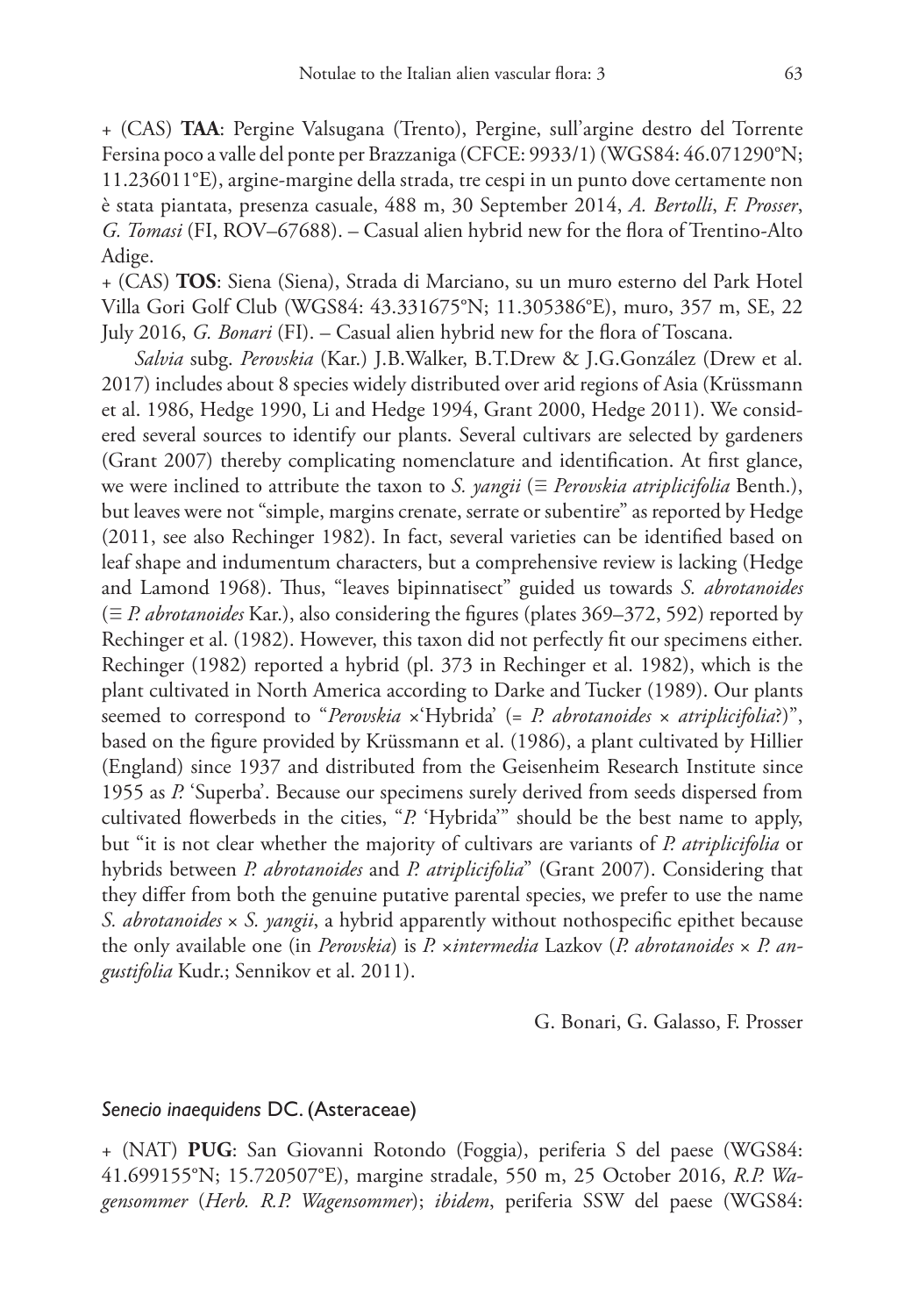+ (CAS) **TAA**: Pergine Valsugana (Trento), Pergine, sull'argine destro del Torrente Fersina poco a valle del ponte per Brazzaniga (CFCE: 9933/1) (WGS84: 46.071290°N; 11.236011°E), argine-margine della strada, tre cespi in un punto dove certamente non è stata piantata, presenza casuale, 488 m, 30 September 2014, *A. Bertolli*, *F. Prosser*, *G. Tomasi* (FI, ROV–67688). – Casual alien hybrid new for the flora of Trentino-Alto Adige.

+ (CAS) **TOS**: Siena (Siena), Strada di Marciano, su un muro esterno del Park Hotel Villa Gori Golf Club (WGS84: 43.331675°N; 11.305386°E), muro, 357 m, SE, 22 July 2016, *G. Bonari* (FI). – Casual alien hybrid new for the flora of Toscana.

*Salvia* subg. *Perovskia* (Kar.) J.B.Walker, B.T.Drew & J.G.González (Drew et al. 2017) includes about 8 species widely distributed over arid regions of Asia (Krüssmann et al. 1986, Hedge 1990, Li and Hedge 1994, Grant 2000, Hedge 2011). We considered several sources to identify our plants. Several cultivars are selected by gardeners (Grant 2007) thereby complicating nomenclature and identification. At first glance, we were inclined to attribute the taxon to *S. yangii* (≡ *Perovskia atriplicifolia* Benth.), but leaves were not "simple, margins crenate, serrate or subentire" as reported by Hedge (2011, see also Rechinger 1982). In fact, several varieties can be identified based on leaf shape and indumentum characters, but a comprehensive review is lacking (Hedge and Lamond 1968). Thus, "leaves bipinnatisect" guided us towards *S. abrotanoides* (≡ *P. abrotanoides* Kar.), also considering the figures (plates 369–372, 592) reported by Rechinger et al. (1982). However, this taxon did not perfectly fit our specimens either. Rechinger (1982) reported a hybrid (pl. 373 in Rechinger et al. 1982), which is the plant cultivated in North America according to Darke and Tucker (1989). Our plants seemed to correspond to "*Perovskia*  $\times$ 'Hybrida' (= *P. abrotanoides*  $\times$  *atriplicifolia*?)", based on the figure provided by Krüssmann et al. (1986), a plant cultivated by Hillier (England) since 1937 and distributed from the Geisenheim Research Institute since 1955 as *P.* 'Superba'. Because our specimens surely derived from seeds dispersed from cultivated flowerbeds in the cities, "*P.* 'Hybrida'" should be the best name to apply, but "it is not clear whether the majority of cultivars are variants of *P. atriplicifolia* or hybrids between *P. abrotanoides* and *P. atriplicifolia*" (Grant 2007). Considering that they differ from both the genuine putative parental species, we prefer to use the name *S. abrotanoides* × *S. yangii*, a hybrid apparently without nothospecific epithet because the only available one (in *Perovskia*) is *P.* ×*intermedia* Lazkov (*P. abrotanoides* × *P. angustifolia* Kudr.; Sennikov et al. 2011).

G. Bonari, G. Galasso, F. Prosser

# *Senecio inaequidens* DC. (Asteraceae)

+ (NAT) **PUG**: San Giovanni Rotondo (Foggia), periferia S del paese (WGS84: 41.699155°N; 15.720507°E), margine stradale, 550 m, 25 October 2016, *R.P. Wagensommer* (*Herb. R.P. Wagensommer*); *ibidem*, periferia SSW del paese (WGS84: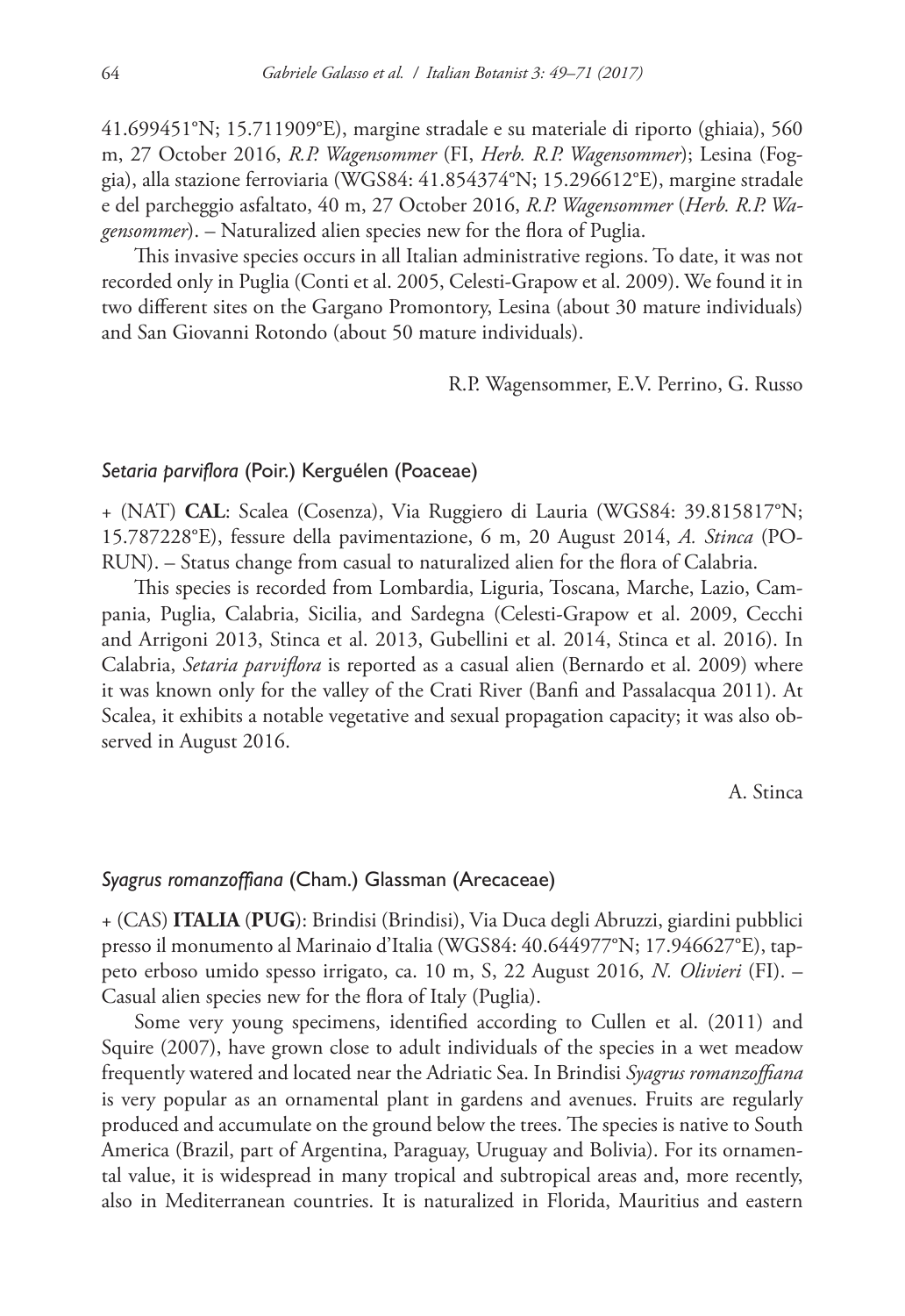41.699451°N; 15.711909°E), margine stradale e su materiale di riporto (ghiaia), 560 m, 27 October 2016, *R.P. Wagensommer* (FI, *Herb. R.P. Wagensommer*); Lesina (Foggia), alla stazione ferroviaria (WGS84: 41.854374°N; 15.296612°E), margine stradale e del parcheggio asfaltato, 40 m, 27 October 2016, *R.P. Wagensommer* (*Herb. R.P. Wagensommer*). – Naturalized alien species new for the flora of Puglia.

This invasive species occurs in all Italian administrative regions. To date, it was not recorded only in Puglia (Conti et al. 2005, Celesti-Grapow et al. 2009). We found it in two different sites on the Gargano Promontory, Lesina (about 30 mature individuals) and San Giovanni Rotondo (about 50 mature individuals).

R.P. Wagensommer, E.V. Perrino, G. Russo

# *Setaria parviflora* (Poir.) Kerguélen (Poaceae)

+ (NAT) **CAL**: Scalea (Cosenza), Via Ruggiero di Lauria (WGS84: 39.815817°N; 15.787228°E), fessure della pavimentazione, 6 m, 20 August 2014, *A. Stinca* (PO-RUN). – Status change from casual to naturalized alien for the flora of Calabria.

This species is recorded from Lombardia, Liguria, Toscana, Marche, Lazio, Campania, Puglia, Calabria, Sicilia, and Sardegna (Celesti-Grapow et al. 2009, Cecchi and Arrigoni 2013, Stinca et al. 2013, Gubellini et al. 2014, Stinca et al. 2016). In Calabria, *Setaria parviflora* is reported as a casual alien (Bernardo et al. 2009) where it was known only for the valley of the Crati River (Banfi and Passalacqua 2011). At Scalea, it exhibits a notable vegetative and sexual propagation capacity; it was also observed in August 2016.

A. Stinca

### *Syagrus romanzoffiana* (Cham.) Glassman (Arecaceae)

+ (CAS) **ITALIA** (**PUG**): Brindisi (Brindisi), Via Duca degli Abruzzi, giardini pubblici presso il monumento al Marinaio d'Italia (WGS84: 40.644977°N; 17.946627°E), tappeto erboso umido spesso irrigato, ca. 10 m, S, 22 August 2016, *N. Olivieri* (FI). – Casual alien species new for the flora of Italy (Puglia).

Some very young specimens, identified according to Cullen et al. (2011) and Squire (2007), have grown close to adult individuals of the species in a wet meadow frequently watered and located near the Adriatic Sea. In Brindisi *Syagrus romanzoffiana* is very popular as an ornamental plant in gardens and avenues. Fruits are regularly produced and accumulate on the ground below the trees. The species is native to South America (Brazil, part of Argentina, Paraguay, Uruguay and Bolivia). For its ornamental value, it is widespread in many tropical and subtropical areas and, more recently, also in Mediterranean countries. It is naturalized in Florida, Mauritius and eastern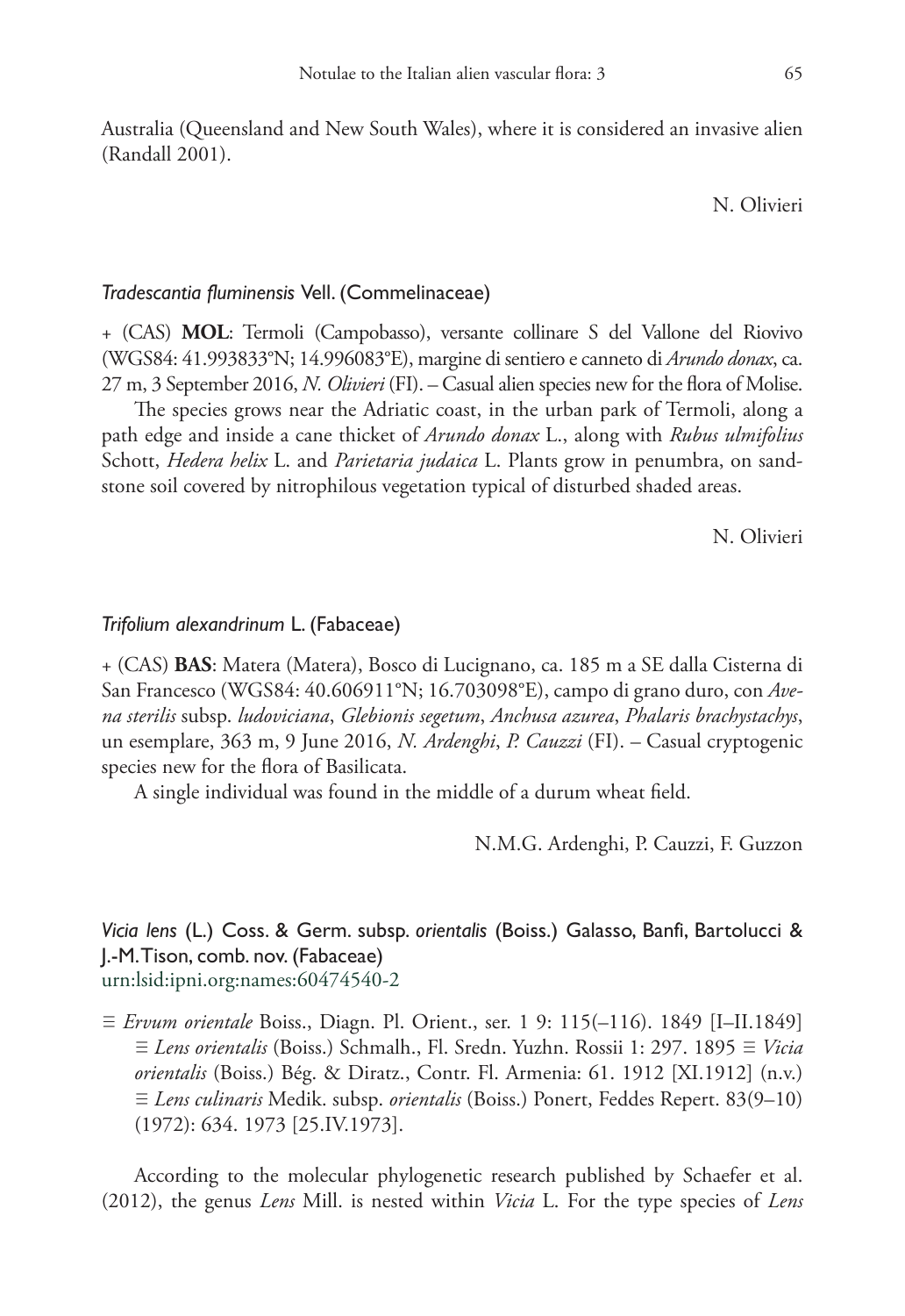Australia (Queensland and New South Wales), where it is considered an invasive alien (Randall 2001).

N. Olivieri

# *Tradescantia fluminensis* Vell. (Commelinaceae)

+ (CAS) **MOL**: Termoli (Campobasso), versante collinare S del Vallone del Riovivo (WGS84: 41.993833°N; 14.996083°E), margine di sentiero e canneto di *Arundo donax*, ca. 27 m, 3 September 2016, *N. Olivieri* (FI). – Casual alien species new for the flora of Molise.

The species grows near the Adriatic coast, in the urban park of Termoli, along a path edge and inside a cane thicket of *Arundo donax* L., along with *Rubus ulmifolius* Schott, *Hedera helix* L. and *Parietaria judaica* L. Plants grow in penumbra, on sandstone soil covered by nitrophilous vegetation typical of disturbed shaded areas.

N. Olivieri

# *Trifolium alexandrinum* L. (Fabaceae)

+ (CAS) **BAS**: Matera (Matera), Bosco di Lucignano, ca. 185 m a SE dalla Cisterna di San Francesco (WGS84: 40.606911°N; 16.703098°E), campo di grano duro, con *Avena sterilis* subsp. *ludoviciana*, *Glebionis segetum*, *Anchusa azurea*, *Phalaris brachystachys*, un esemplare, 363 m, 9 June 2016, *N. Ardenghi*, *P. Cauzzi* (FI). – Casual cryptogenic species new for the flora of Basilicata.

A single individual was found in the middle of a durum wheat field.

N.M.G. Ardenghi, P. Cauzzi, F. Guzzon

# *Vicia lens* (L.) Coss. & Germ. subsp. *orientalis* (Boiss.) Galasso, Banfi, Bartolucci & J.-M. Tison, comb. nov. (Fabaceae) [urn:lsid:ipni.org:names:60474540-2](http://ipni.org/urn:lsid:ipni.org:names:60474540-2)

≡ *Ervum orientale* Boiss., Diagn. Pl. Orient., ser. 1 9: 115(–116). 1849 [I–II.1849] ≡ *Lens orientalis* (Boiss.) Schmalh., Fl. Sredn. Yuzhn. Rossii 1: 297. 1895 ≡ *Vicia orientalis* (Boiss.) Bég. & Diratz., Contr. Fl. Armenia: 61. 1912 [XI.1912] (n.v.) ≡ *Lens culinaris* Medik. subsp. *orientalis* (Boiss.) Ponert, Feddes Repert. 83(9–10) (1972): 634. 1973 [25.IV.1973].

According to the molecular phylogenetic research published by Schaefer et al. (2012), the genus *Lens* Mill. is nested within *Vicia* L. For the type species of *Lens*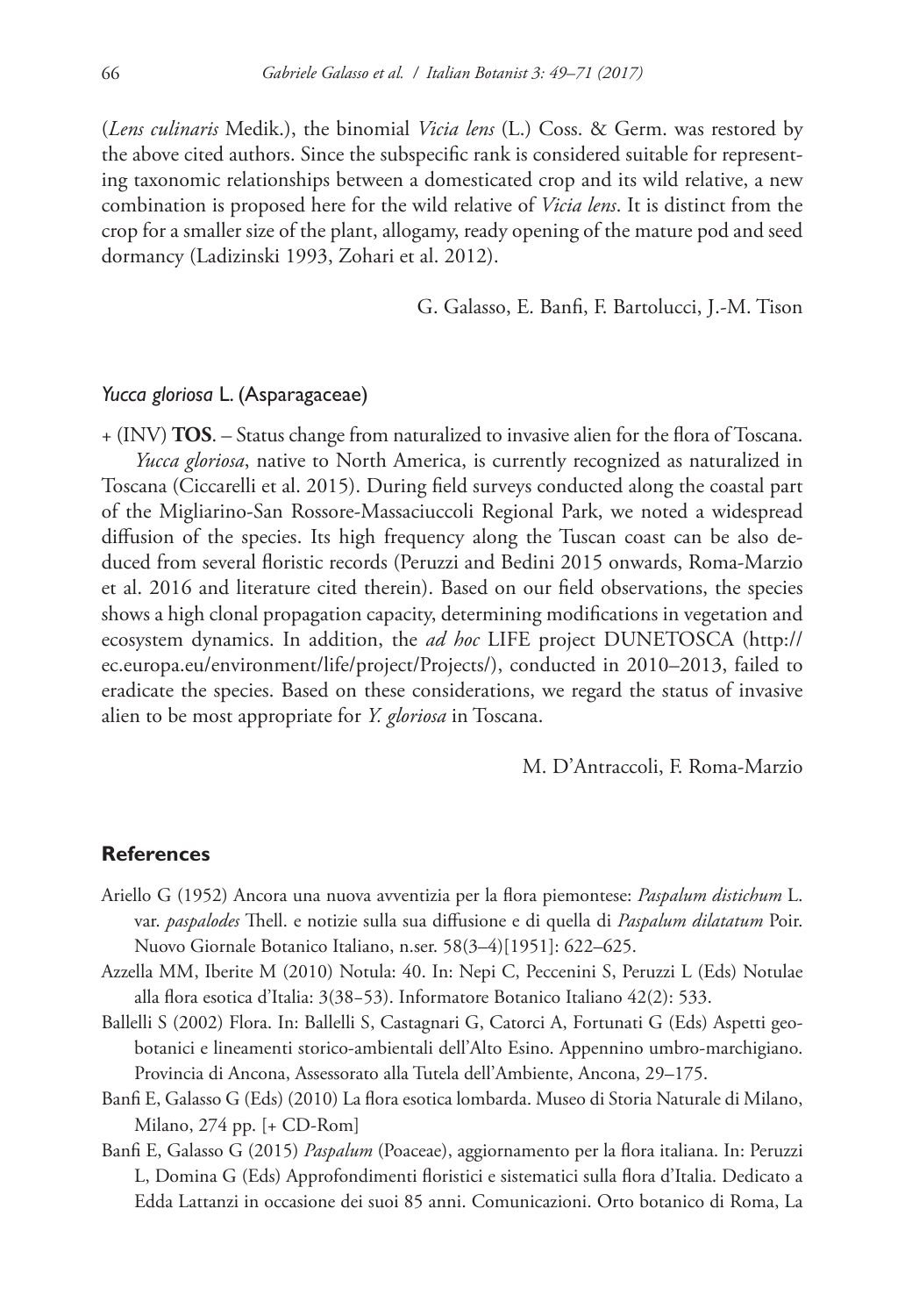(*Lens culinaris* Medik.), the binomial *Vicia lens* (L.) Coss. & Germ. was restored by the above cited authors. Since the subspecific rank is considered suitable for representing taxonomic relationships between a domesticated crop and its wild relative, a new combination is proposed here for the wild relative of *Vicia lens*. It is distinct from the crop for a smaller size of the plant, allogamy, ready opening of the mature pod and seed dormancy (Ladizinski 1993, Zohari et al. 2012).

G. Galasso, E. Banfi, F. Bartolucci, J.-M. Tison

# *Yucca gloriosa* L. (Asparagaceae)

+ (INV) **TOS**. – Status change from naturalized to invasive alien for the flora of Toscana. *Yucca gloriosa*, native to North America, is currently recognized as naturalized in Toscana (Ciccarelli et al. 2015). During field surveys conducted along the coastal part of the Migliarino-San Rossore-Massaciuccoli Regional Park, we noted a widespread diffusion of the species. Its high frequency along the Tuscan coast can be also deduced from several floristic records (Peruzzi and Bedini 2015 onwards, Roma-Marzio et al. 2016 and literature cited therein). Based on our field observations, the species shows a high clonal propagation capacity, determining modifications in vegetation and ecosystem dynamics. In addition, the *ad hoc* LIFE project DUNETOSCA [\(http://](http://ec.europa.eu/environment/life/project/Projects/) [ec.europa.eu/environment/life/project/Projects/\)](http://ec.europa.eu/environment/life/project/Projects/), conducted in 2010–2013, failed to eradicate the species. Based on these considerations, we regard the status of invasive alien to be most appropriate for *Y. gloriosa* in Toscana.

M. D'Antraccoli, F. Roma-Marzio

# **References**

- Ariello G (1952) Ancora una nuova avventizia per la flora piemontese: *Paspalum distichum* L. var. *paspalodes* Thell. e notizie sulla sua diffusione e di quella di *Paspalum dilatatum* Poir. Nuovo Giornale Botanico Italiano, n.ser. 58(3–4)[1951]: 622–625.
- Azzella MM, Iberite M (2010) Notula: 40. In: Nepi C, Peccenini S, Peruzzi L (Eds) Notulae alla flora esotica d'Italia: 3(38−53). Informatore Botanico Italiano 42(2): 533.
- Ballelli S (2002) Flora. In: Ballelli S, Castagnari G, Catorci A, Fortunati G (Eds) Aspetti geobotanici e lineamenti storico-ambientali dell'Alto Esino. Appennino umbro-marchigiano. Provincia di Ancona, Assessorato alla Tutela dell'Ambiente, Ancona, 29–175.
- Banfi E, Galasso G (Eds) (2010) La flora esotica lombarda. Museo di Storia Naturale di Milano, Milano, 274 pp. [+ CD-Rom]
- Banfi E, Galasso G (2015) *Paspalum* (Poaceae), aggiornamento per la flora italiana. In: Peruzzi L, Domina G (Eds) Approfondimenti floristici e sistematici sulla flora d'Italia. Dedicato a Edda Lattanzi in occasione dei suoi 85 anni. Comunicazioni. Orto botanico di Roma, La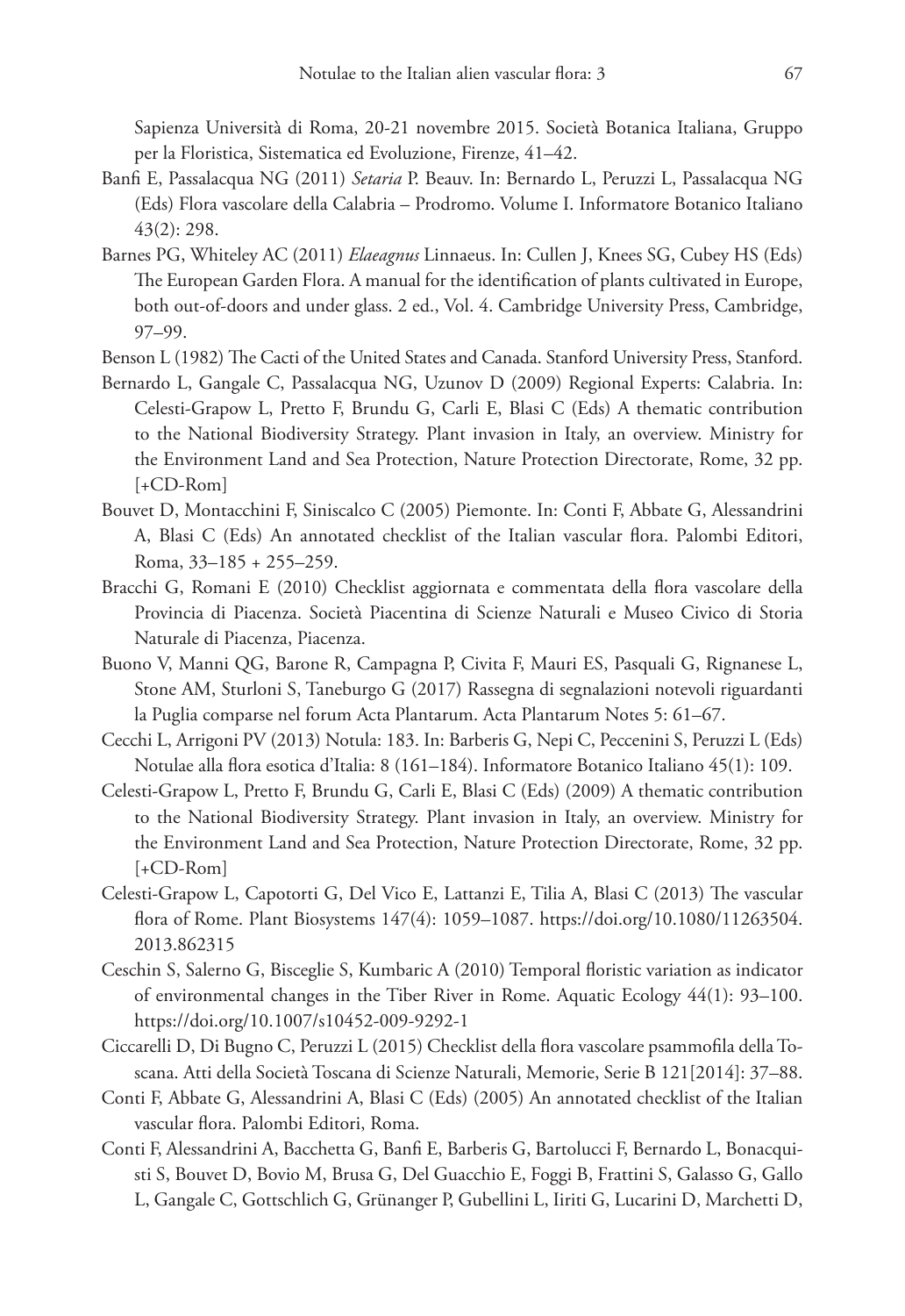Sapienza Università di Roma, 20-21 novembre 2015. Società Botanica Italiana, Gruppo per la Floristica, Sistematica ed Evoluzione, Firenze, 41–42.

- Banfi E, Passalacqua NG (2011) *Setaria* P. Beauv. In: Bernardo L, Peruzzi L, Passalacqua NG (Eds) Flora vascolare della Calabria – Prodromo. Volume I. Informatore Botanico Italiano 43(2): 298.
- Barnes PG, Whiteley AC (2011) *Elaeagnus* Linnaeus. In: Cullen J, Knees SG, Cubey HS (Eds) The European Garden Flora. A manual for the identification of plants cultivated in Europe, both out-of-doors and under glass. 2 ed., Vol. 4. Cambridge University Press, Cambridge, 97–99.
- Benson L (1982) The Cacti of the United States and Canada. Stanford University Press, Stanford.
- Bernardo L, Gangale C, Passalacqua NG, Uzunov D (2009) Regional Experts: Calabria. In: Celesti-Grapow L, Pretto F, Brundu G, Carli E, Blasi C (Eds) A thematic contribution to the National Biodiversity Strategy. Plant invasion in Italy, an overview. Ministry for the Environment Land and Sea Protection, Nature Protection Directorate, Rome, 32 pp. [+CD-Rom]
- Bouvet D, Montacchini F, Siniscalco C (2005) Piemonte. In: Conti F, Abbate G, Alessandrini A, Blasi C (Eds) An annotated checklist of the Italian vascular flora. Palombi Editori, Roma, 33–185 + 255–259.
- Bracchi G, Romani E (2010) Checklist aggiornata e commentata della flora vascolare della Provincia di Piacenza. Società Piacentina di Scienze Naturali e Museo Civico di Storia Naturale di Piacenza, Piacenza.
- Buono V, Manni QG, Barone R, Campagna P, Civita F, Mauri ES, Pasquali G, Rignanese L, Stone AM, Sturloni S, Taneburgo G (2017) Rassegna di segnalazioni notevoli riguardanti la Puglia comparse nel forum Acta Plantarum. Acta Plantarum Notes 5: 61–67.
- Cecchi L, Arrigoni PV (2013) Notula: 183. In: Barberis G, Nepi C, Peccenini S, Peruzzi L (Eds) Notulae alla flora esotica d'Italia: 8 (161–184). Informatore Botanico Italiano 45(1): 109.
- Celesti-Grapow L, Pretto F, Brundu G, Carli E, Blasi C (Eds) (2009) A thematic contribution to the National Biodiversity Strategy. Plant invasion in Italy, an overview. Ministry for the Environment Land and Sea Protection, Nature Protection Directorate, Rome, 32 pp. [+CD-Rom]
- Celesti-Grapow L, Capotorti G, Del Vico E, Lattanzi E, Tilia A, Blasi C (2013) The vascular flora of Rome. Plant Biosystems 147(4): 1059–1087. [https://doi.org/10.1080/11263504.](https://doi.org/10.1080/11263504.2013.862315) [2013.862315](https://doi.org/10.1080/11263504.2013.862315)
- Ceschin S, Salerno G, Bisceglie S, Kumbaric A (2010) Temporal floristic variation as indicator of environmental changes in the Tiber River in Rome. Aquatic Ecology 44(1): 93–100. <https://doi.org/10.1007/s10452-009-9292-1>
- Ciccarelli D, Di Bugno C, Peruzzi L (2015) Checklist della flora vascolare psammofila della Toscana. Atti della Società Toscana di Scienze Naturali, Memorie, Serie B 121[2014]: 37–88.
- Conti F, Abbate G, Alessandrini A, Blasi C (Eds) (2005) An annotated checklist of the Italian vascular flora. Palombi Editori, Roma.
- Conti F, Alessandrini A, Bacchetta G, Banfi E, Barberis G, Bartolucci F, Bernardo L, Bonacquisti S, Bouvet D, Bovio M, Brusa G, Del Guacchio E, Foggi B, Frattini S, Galasso G, Gallo L, Gangale C, Gottschlich G, Grünanger P, Gubellini L, Iiriti G, Lucarini D, Marchetti D,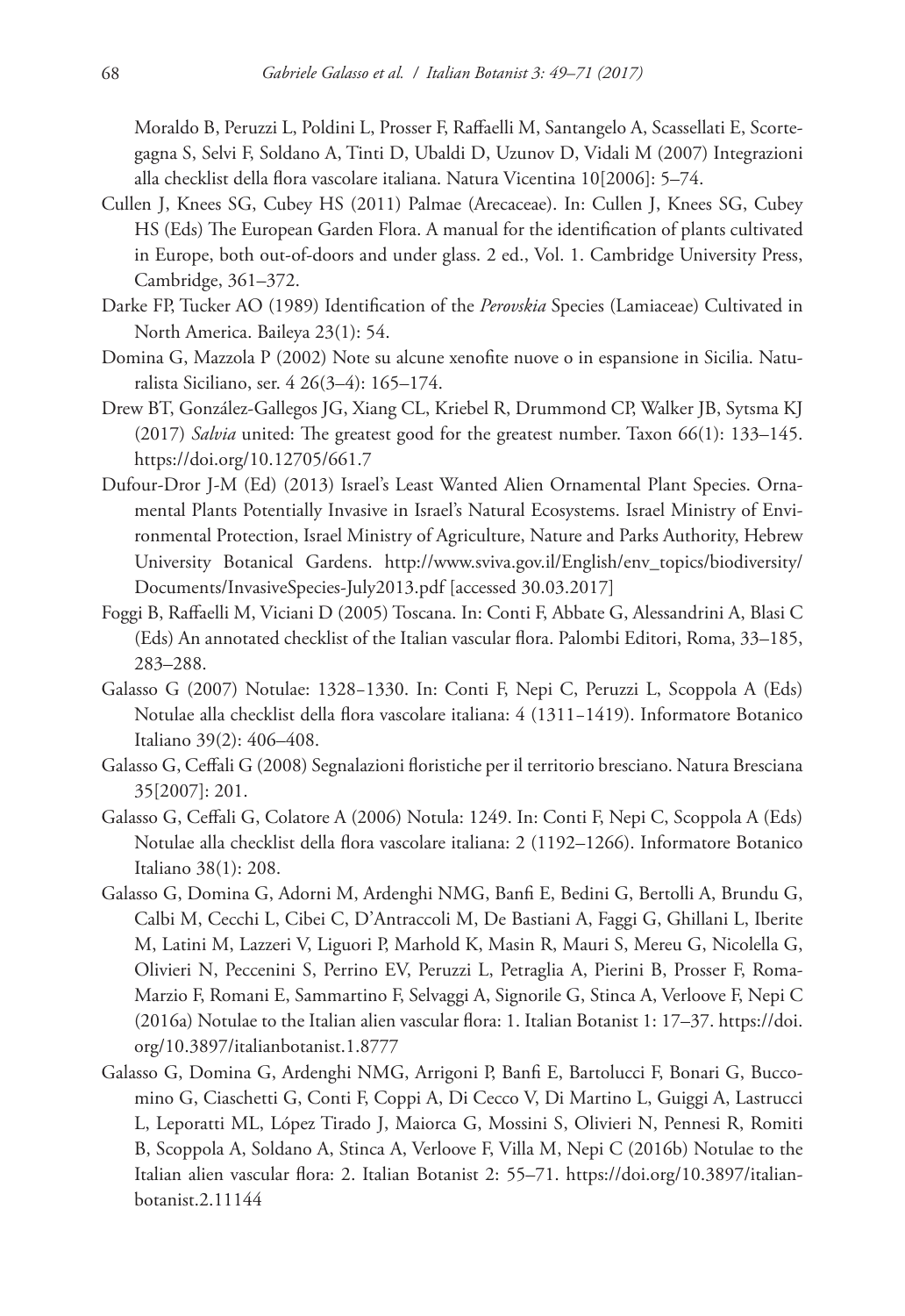Moraldo B, Peruzzi L, Poldini L, Prosser F, Raffaelli M, Santangelo A, Scassellati E, Scortegagna S, Selvi F, Soldano A, Tinti D, Ubaldi D, Uzunov D, Vidali M (2007) Integrazioni alla checklist della flora vascolare italiana. Natura Vicentina 10[2006]: 5–74.

- Cullen J, Knees SG, Cubey HS (2011) Palmae (Arecaceae). In: Cullen J, Knees SG, Cubey HS (Eds) The European Garden Flora. A manual for the identification of plants cultivated in Europe, both out-of-doors and under glass. 2 ed., Vol. 1. Cambridge University Press, Cambridge, 361–372.
- Darke FP, Tucker AO (1989) Identification of the *Perovskia* Species (Lamiaceae) Cultivated in North America. Baileya 23(1): 54.
- Domina G, Mazzola P (2002) Note su alcune xenofite nuove o in espansione in Sicilia. Naturalista Siciliano, ser. 4 26(3–4): 165–174.
- Drew BT, González-Gallegos JG, Xiang CL, Kriebel R, Drummond CP, Walker JB, Sytsma KJ (2017) *Salvia* united: The greatest good for the greatest number. Taxon 66(1): 133–145. <https://doi.org/10.12705/661.7>
- Dufour-Dror J-M (Ed) (2013) Israel's Least Wanted Alien Ornamental Plant Species. Ornamental Plants Potentially Invasive in Israel's Natural Ecosystems. Israel Ministry of Environmental Protection, Israel Ministry of Agriculture, Nature and Parks Authority, Hebrew University Botanical Gardens. [http://www.sviva.gov.il/English/env\\_topics/biodiversity/](http://www.sviva.gov.il/English/env_topics/biodiversity/Documents/InvasiveSpecies-July2013.pdf) [Documents/InvasiveSpecies-July2013.pdf](http://www.sviva.gov.il/English/env_topics/biodiversity/Documents/InvasiveSpecies-July2013.pdf) [accessed 30.03.2017]
- Foggi B, Raffaelli M, Viciani D (2005) Toscana. In: Conti F, Abbate G, Alessandrini A, Blasi C (Eds) An annotated checklist of the Italian vascular flora. Palombi Editori, Roma, 33–185, 283–288.
- Galasso G (2007) Notulae: 1328−1330. In: Conti F, Nepi C, Peruzzi L, Scoppola A (Eds) Notulae alla checklist della flora vascolare italiana: 4 (1311−1419). Informatore Botanico Italiano 39(2): 406–408.
- Galasso G, Ceffali G (2008) Segnalazioni floristiche per il territorio bresciano. Natura Bresciana 35[2007]: 201.
- Galasso G, Ceffali G, Colatore A (2006) Notula: 1249. In: Conti F, Nepi C, Scoppola A (Eds) Notulae alla checklist della flora vascolare italiana: 2 (1192–1266). Informatore Botanico Italiano 38(1): 208.
- Galasso G, Domina G, Adorni M, Ardenghi NMG, Banfi E, Bedini G, Bertolli A, Brundu G, Calbi M, Cecchi L, Cibei C, D'Antraccoli M, De Bastiani A, Faggi G, Ghillani L, Iberite M, Latini M, Lazzeri V, Liguori P, Marhold K, Masin R, Mauri S, Mereu G, Nicolella G, Olivieri N, Peccenini S, Perrino EV, Peruzzi L, Petraglia A, Pierini B, Prosser F, Roma-Marzio F, Romani E, Sammartino F, Selvaggi A, Signorile G, Stinca A, Verloove F, Nepi C (2016a) Notulae to the Italian alien vascular flora: 1. Italian Botanist 1: 17–37. [https://doi.](https://doi.org/10.3897/italianbotanist.1.8777) [org/10.3897/italianbotanist.1.8777](https://doi.org/10.3897/italianbotanist.1.8777)
- Galasso G, Domina G, Ardenghi NMG, Arrigoni P, Banfi E, Bartolucci F, Bonari G, Buccomino G, Ciaschetti G, Conti F, Coppi A, Di Cecco V, Di Martino L, Guiggi A, Lastrucci L, Leporatti ML, López Tirado J, Maiorca G, Mossini S, Olivieri N, Pennesi R, Romiti B, Scoppola A, Soldano A, Stinca A, Verloove F, Villa M, Nepi C (2016b) Notulae to the Italian alien vascular flora: 2. Italian Botanist 2: 55–71. [https://doi.org/10.3897/italian](https://doi.org/10.3897/italianbotanist.2.11144)[botanist.2.11144](https://doi.org/10.3897/italianbotanist.2.11144)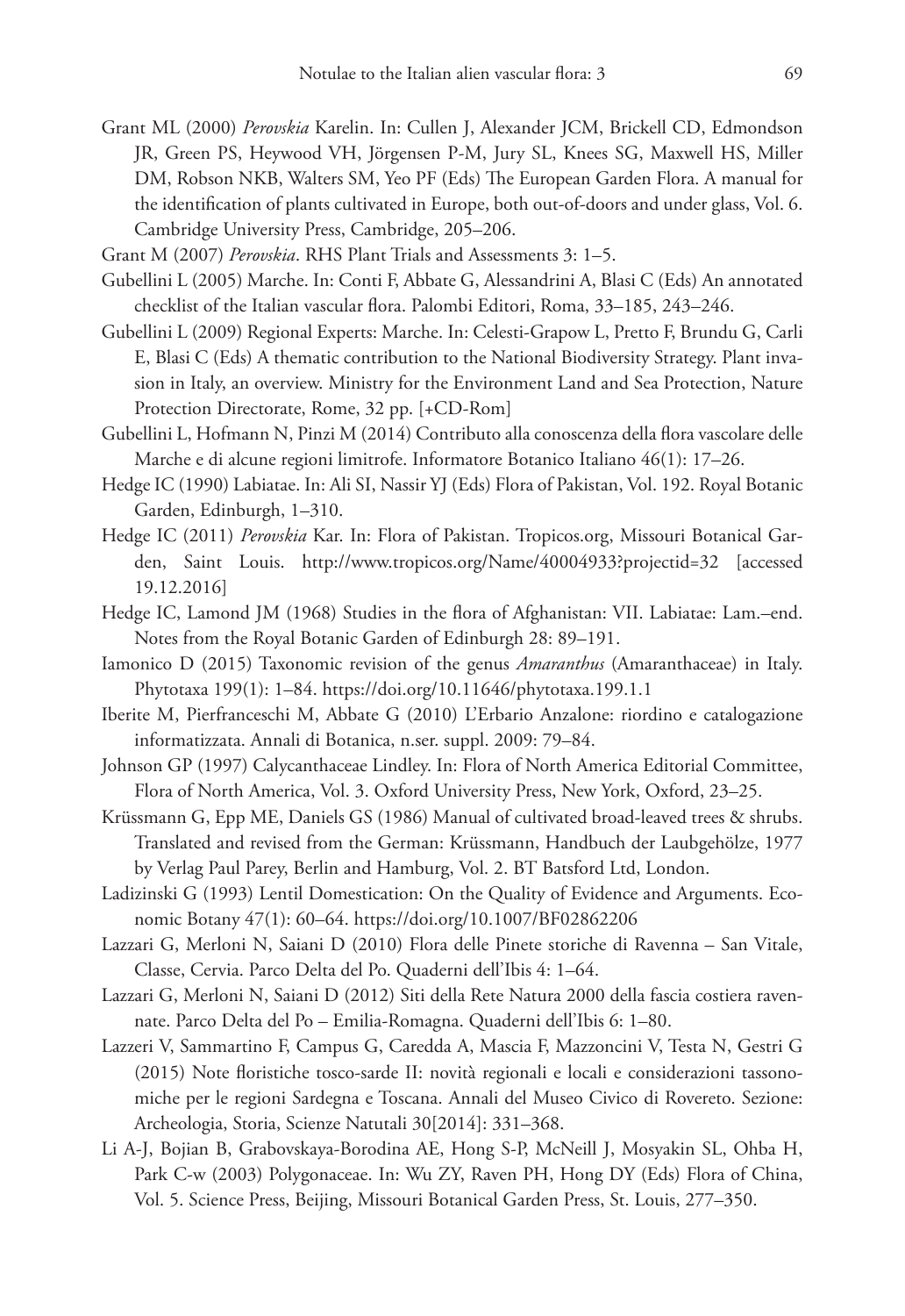Grant ML (2000) *Perovskia* Karelin. In: Cullen J, Alexander JCM, Brickell CD, Edmondson JR, Green PS, Heywood VH, Jörgensen P-M, Jury SL, Knees SG, Maxwell HS, Miller DM, Robson NKB, Walters SM, Yeo PF (Eds) The European Garden Flora. A manual for the identification of plants cultivated in Europe, both out-of-doors and under glass, Vol. 6. Cambridge University Press, Cambridge, 205–206.

Grant M (2007) *Perovskia*. RHS Plant Trials and Assessments 3: 1–5.

- Gubellini L (2005) Marche. In: Conti F, Abbate G, Alessandrini A, Blasi C (Eds) An annotated checklist of the Italian vascular flora. Palombi Editori, Roma, 33–185, 243–246.
- Gubellini L (2009) Regional Experts: Marche. In: Celesti-Grapow L, Pretto F, Brundu G, Carli E, Blasi C (Eds) A thematic contribution to the National Biodiversity Strategy. Plant invasion in Italy, an overview. Ministry for the Environment Land and Sea Protection, Nature Protection Directorate, Rome, 32 pp. [+CD-Rom]
- Gubellini L, Hofmann N, Pinzi M (2014) Contributo alla conoscenza della flora vascolare delle Marche e di alcune regioni limitrofe. Informatore Botanico Italiano 46(1): 17–26.
- Hedge IC (1990) Labiatae. In: Ali SI, Nassir YJ (Eds) Flora of Pakistan, Vol. 192. Royal Botanic Garden, Edinburgh, 1–310.
- Hedge IC (2011) *Perovskia* Kar. In: Flora of Pakistan. Tropicos.org, Missouri Botanical Garden, Saint Louis. <http://www.tropicos.org/Name/40004933?projectid=32>[accessed 19.12.2016]
- Hedge IC, Lamond JM (1968) Studies in the flora of Afghanistan: VII. Labiatae: Lam.–end. Notes from the Royal Botanic Garden of Edinburgh 28: 89–191.
- Iamonico D (2015) Taxonomic revision of the genus *Amaranthus* (Amaranthaceae) in Italy. Phytotaxa 199(1): 1–84. <https://doi.org/10.11646/phytotaxa.199.1.1>
- Iberite M, Pierfranceschi M, Abbate G (2010) L'Erbario Anzalone: riordino e catalogazione informatizzata. Annali di Botanica, n.ser. suppl. 2009: 79–84.
- Johnson GP (1997) Calycanthaceae Lindley. In: Flora of North America Editorial Committee, Flora of North America, Vol. 3. Oxford University Press, New York, Oxford, 23–25.
- Krüssmann G, Epp ME, Daniels GS (1986) Manual of cultivated broad-leaved trees & shrubs. Translated and revised from the German: Krüssmann, Handbuch der Laubgehölze, 1977 by Verlag Paul Parey, Berlin and Hamburg, Vol. 2. BT Batsford Ltd, London.
- Ladizinski G (1993) Lentil Domestication: On the Quality of Evidence and Arguments. Economic Botany 47(1): 60–64.<https://doi.org/10.1007/BF02862206>
- Lazzari G, Merloni N, Saiani D (2010) Flora delle Pinete storiche di Ravenna San Vitale, Classe, Cervia. Parco Delta del Po. Quaderni dell'Ibis 4: 1–64.
- Lazzari G, Merloni N, Saiani D (2012) Siti della Rete Natura 2000 della fascia costiera ravennate. Parco Delta del Po – Emilia-Romagna. Quaderni dell'Ibis 6: 1–80.
- Lazzeri V, Sammartino F, Campus G, Caredda A, Mascia F, Mazzoncini V, Testa N, Gestri G (2015) Note floristiche tosco-sarde II: novità regionali e locali e considerazioni tassonomiche per le regioni Sardegna e Toscana. Annali del Museo Civico di Rovereto. Sezione: Archeologia, Storia, Scienze Natutali 30[2014]: 331–368.
- Li A-J, Bojian B, Grabovskaya-Borodina AE, Hong S-P, McNeill J, Mosyakin SL, Ohba H, Park C-w (2003) Polygonaceae. In: Wu ZY, Raven PH, Hong DY (Eds) Flora of China, Vol. 5. Science Press, Beijing, Missouri Botanical Garden Press, St. Louis, 277–350.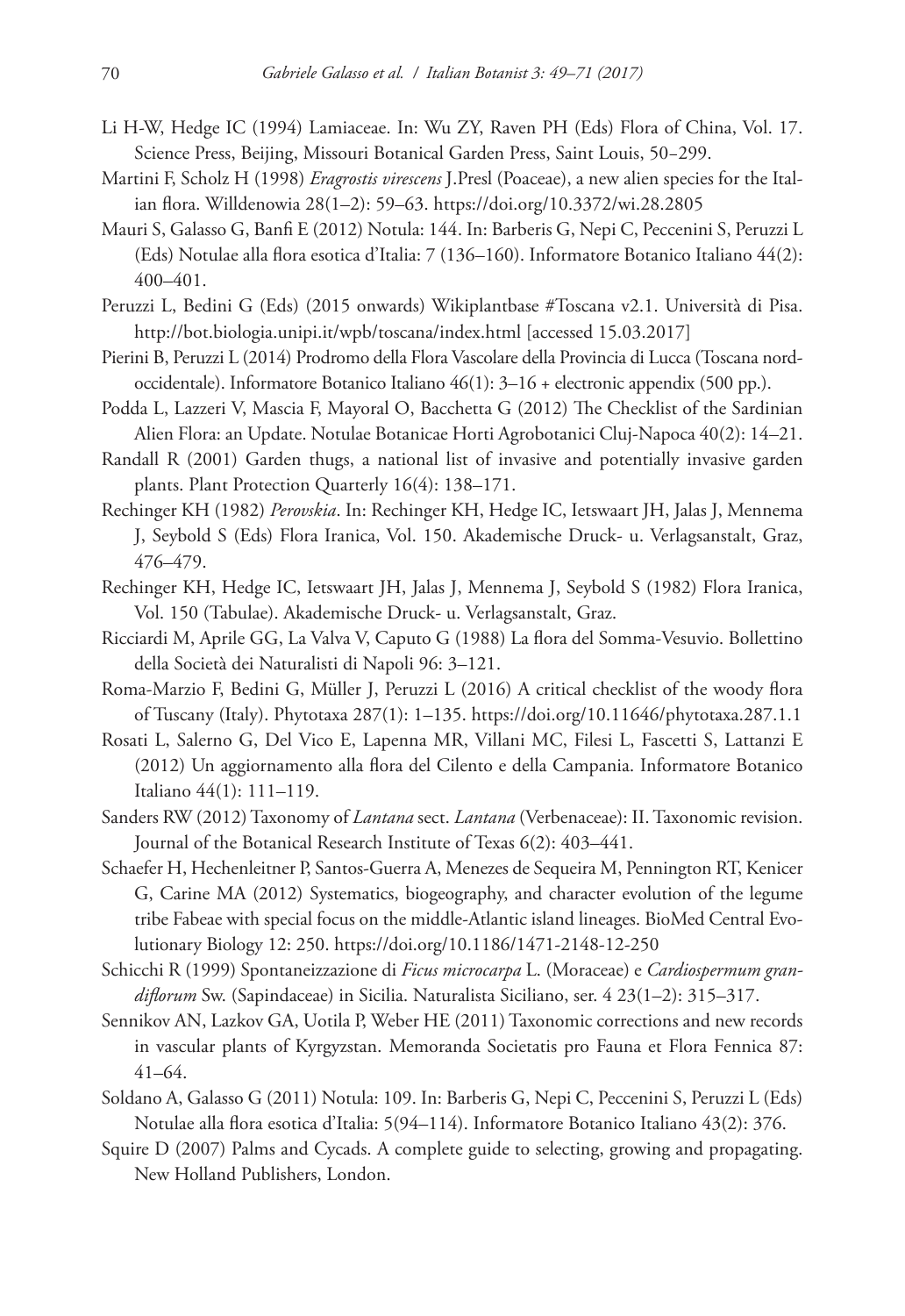- Li H-W, Hedge IC (1994) Lamiaceae. In: Wu ZY, Raven PH (Eds) Flora of China, Vol. 17. Science Press, Beijing, Missouri Botanical Garden Press, Saint Louis, 50−299.
- Martini F, Scholz H (1998) *Eragrostis virescens* J.Presl (Poaceae), a new alien species for the Italian flora. Willdenowia 28(1–2): 59–63.<https://doi.org/10.3372/wi.28.2805>
- Mauri S, Galasso G, Banfi E (2012) Notula: 144. In: Barberis G, Nepi C, Peccenini S, Peruzzi L (Eds) Notulae alla flora esotica d'Italia: 7 (136–160). Informatore Botanico Italiano 44(2): 400–401.
- Peruzzi L, Bedini G (Eds) (2015 onwards) Wikiplantbase #Toscana v2.1. Università di Pisa. <http://bot.biologia.unipi.it/wpb/toscana/index.html>[accessed 15.03.2017]
- Pierini B, Peruzzi L (2014) Prodromo della Flora Vascolare della Provincia di Lucca (Toscana nordoccidentale). Informatore Botanico Italiano 46(1): 3–16 + electronic appendix (500 pp.).
- Podda L, Lazzeri V, Mascia F, Mayoral O, Bacchetta G (2012) The Checklist of the Sardinian Alien Flora: an Update. Notulae Botanicae Horti Agrobotanici Cluj-Napoca 40(2): 14–21.
- Randall R (2001) Garden thugs, a national list of invasive and potentially invasive garden plants. Plant Protection Quarterly 16(4): 138–171.
- Rechinger KH (1982) *Perovskia*. In: Rechinger KH, Hedge IC, Ietswaart JH, Jalas J, Mennema J, Seybold S (Eds) Flora Iranica, Vol. 150. Akademische Druck- u. Verlagsanstalt, Graz, 476–479.
- Rechinger KH, Hedge IC, Ietswaart JH, Jalas J, Mennema J, Seybold S (1982) Flora Iranica, Vol. 150 (Tabulae). Akademische Druck- u. Verlagsanstalt, Graz.
- Ricciardi M, Aprile GG, La Valva V, Caputo G (1988) La flora del Somma-Vesuvio. Bollettino della Società dei Naturalisti di Napoli 96: 3–121.
- Roma-Marzio F, Bedini G, Müller J, Peruzzi L (2016) A critical checklist of the woody flora of Tuscany (Italy). Phytotaxa 287(1): 1–135. <https://doi.org/10.11646/phytotaxa.287.1.1>
- Rosati L, Salerno G, Del Vico E, Lapenna MR, Villani MC, Filesi L, Fascetti S, Lattanzi E (2012) Un aggiornamento alla flora del Cilento e della Campania. Informatore Botanico Italiano 44(1): 111–119.
- Sanders RW (2012) Taxonomy of *Lantana* sect. *Lantana* (Verbenaceae): II. Taxonomic revision. Journal of the Botanical Research Institute of Texas 6(2): 403–441.
- Schaefer H, Hechenleitner P, Santos-Guerra A, Menezes de Sequeira M, Pennington RT, Kenicer G, Carine MA (2012) Systematics, biogeography, and character evolution of the legume tribe Fabeae with special focus on the middle-Atlantic island lineages. BioMed Central Evolutionary Biology 12: 250. <https://doi.org/10.1186/1471-2148-12-250>
- Schicchi R (1999) Spontaneizzazione di *Ficus microcarpa* L. (Moraceae) e *Cardiospermum grandiflorum* Sw. (Sapindaceae) in Sicilia. Naturalista Siciliano, ser. 4 23(1–2): 315–317.
- Sennikov AN, Lazkov GA, Uotila P, Weber HE (2011) Taxonomic corrections and new records in vascular plants of Kyrgyzstan. Memoranda Societatis pro Fauna et Flora Fennica 87: 41–64.
- Soldano A, Galasso G (2011) Notula: 109. In: Barberis G, Nepi C, Peccenini S, Peruzzi L (Eds) Notulae alla flora esotica d'Italia: 5(94–114). Informatore Botanico Italiano 43(2): 376.
- Squire D (2007) Palms and Cycads. A complete guide to selecting, growing and propagating. New Holland Publishers, London.